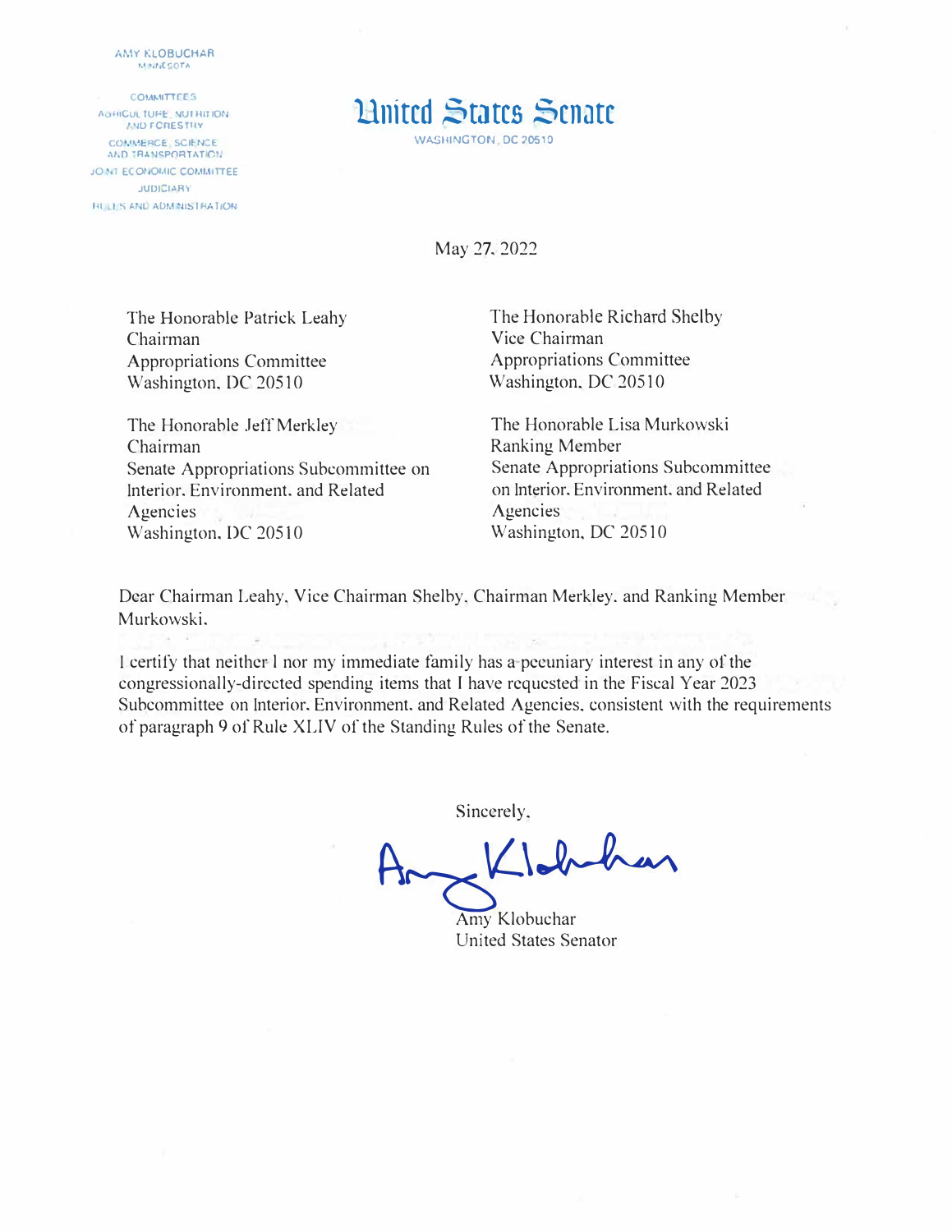*MMY KLOBUCHAR* **�.1 •.r�crOfA** 

**COMMITTEES** AUFROUL TUFE INUTINTION **COMMERCE, SCIENCE.**<br>AND TRANSPORTATION **JO NT ECONOMIC COMMITTEE JUDICIARY** HULLIS AND ADMINISTRATION

## **Hilted States Senate**

May 27. 2022

The Honorable Patrick Leahy Chairman Appropriations Committee Washington, DC 20510

The Honorable Jeff Merkley Chairman Senate Appropriations Subcommittee on Interior, Environment, and Related Agencies Washington, DC 20510

The Honorable Richard Shelby Vice Chairman Appropriations Committee Washington, DC 20510

The Honorable Lisa Murkowski Ranking Member Senate Appropriations Subcommittee on Interior, Environment, and Related **Agencies** Washington, DC 20510

Dear Chairman Leahy, Vice Chairman Shelby, Chairman Merkley. and Ranking Member Murkowski,

I certify that neither l nor my immediate family has a pecuniary interest in any of the congressionally-directed spending items that I have requested in the Fiscal Year 2023 Subcommittee on Interior, Environment, and Related Agencies, consistent with the requirements of paragraph 9 of Rule XLIV of the Standing Rules of the Senate.

Sincerely,

 $K$ labahan

Amy Klobuchar United States Senator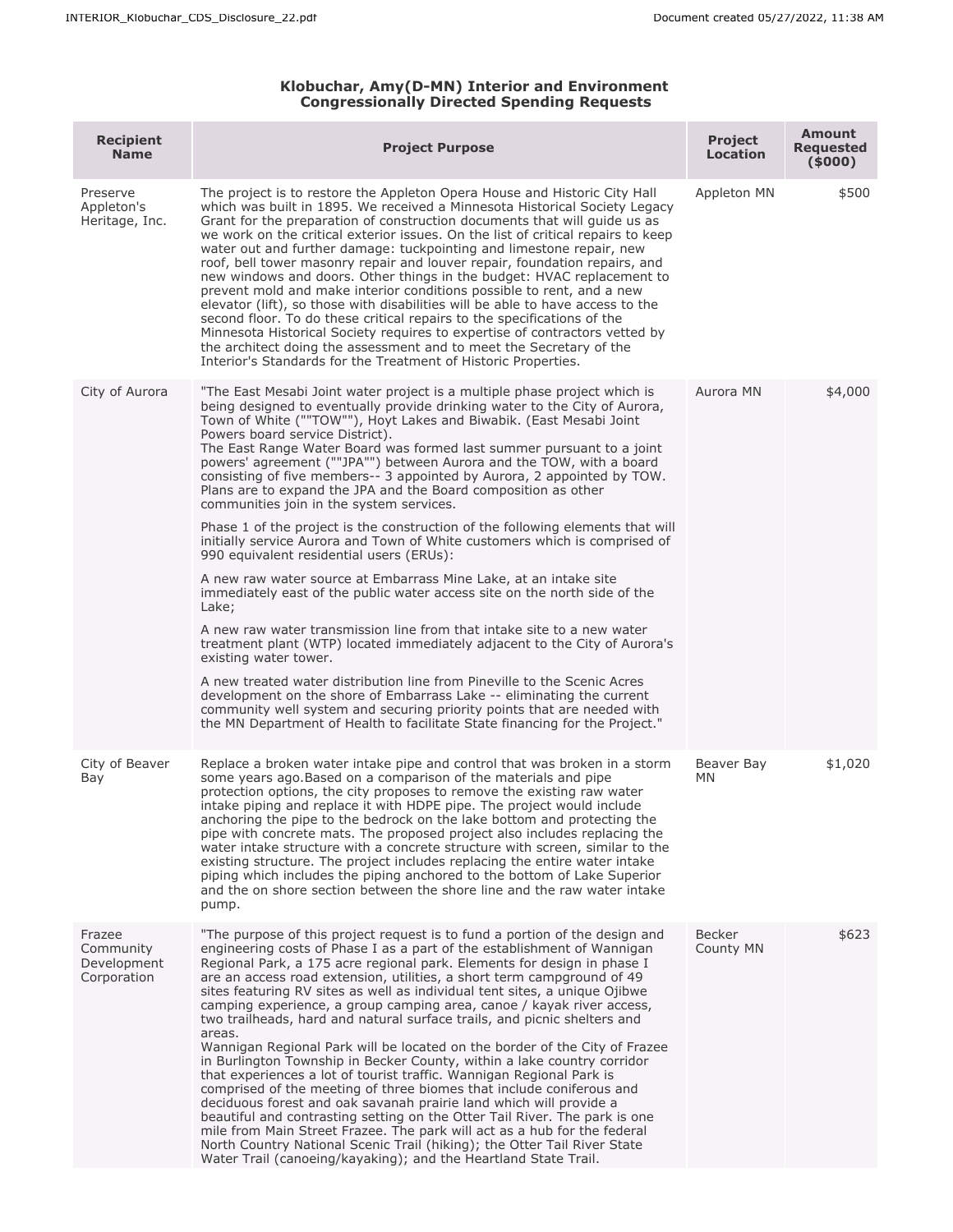## **Klobuchar, Amy(D-MN) Interior and Environment Congressionally Directed Spending Requests**

| <b>Recipient</b><br><b>Name</b>                   | <b>Project Purpose</b>                                                                                                                                                                                                                                                                                                                                                                                                                                                                                                                                                                                                                                                                                                                                                                                                                                                                                                                                                                                                                                                                                                                                                                                                                                                                                                                                                                                                                                                            | <b>Project</b><br>Location | <b>Amount</b><br><b>Requested</b><br>(5000) |
|---------------------------------------------------|-----------------------------------------------------------------------------------------------------------------------------------------------------------------------------------------------------------------------------------------------------------------------------------------------------------------------------------------------------------------------------------------------------------------------------------------------------------------------------------------------------------------------------------------------------------------------------------------------------------------------------------------------------------------------------------------------------------------------------------------------------------------------------------------------------------------------------------------------------------------------------------------------------------------------------------------------------------------------------------------------------------------------------------------------------------------------------------------------------------------------------------------------------------------------------------------------------------------------------------------------------------------------------------------------------------------------------------------------------------------------------------------------------------------------------------------------------------------------------------|----------------------------|---------------------------------------------|
| Preserve<br>Appleton's<br>Heritage, Inc.          | The project is to restore the Appleton Opera House and Historic City Hall<br>which was built in 1895. We received a Minnesota Historical Society Legacy<br>Grant for the preparation of construction documents that will quide us as<br>we work on the critical exterior issues. On the list of critical repairs to keep<br>water out and further damage: tuckpointing and limestone repair, new<br>roof, bell tower masonry repair and louver repair, foundation repairs, and<br>new windows and doors. Other things in the budget: HVAC replacement to<br>prevent mold and make interior conditions possible to rent, and a new<br>elevator (lift), so those with disabilities will be able to have access to the<br>second floor. To do these critical repairs to the specifications of the<br>Minnesota Historical Society requires to expertise of contractors vetted by<br>the architect doing the assessment and to meet the Secretary of the<br>Interior's Standards for the Treatment of Historic Properties.                                                                                                                                                                                                                                                                                                                                                                                                                                                            | Appleton MN                | \$500                                       |
| City of Aurora                                    | "The East Mesabi Joint water project is a multiple phase project which is<br>being designed to eventually provide drinking water to the City of Aurora,<br>Town of White (""TOW""), Hoyt Lakes and Biwabik. (East Mesabi Joint<br>Powers board service District).<br>The East Range Water Board was formed last summer pursuant to a joint<br>powers' agreement (""JPA"") between Aurora and the TOW, with a board<br>consisting of five members-- 3 appointed by Aurora, 2 appointed by TOW.<br>Plans are to expand the JPA and the Board composition as other<br>communities join in the system services.<br>Phase 1 of the project is the construction of the following elements that will<br>initially service Aurora and Town of White customers which is comprised of<br>990 equivalent residential users (ERUs):<br>A new raw water source at Embarrass Mine Lake, at an intake site<br>immediately east of the public water access site on the north side of the<br>Lake;<br>A new raw water transmission line from that intake site to a new water<br>treatment plant (WTP) located immediately adjacent to the City of Aurora's<br>existing water tower.<br>A new treated water distribution line from Pineville to the Scenic Acres<br>development on the shore of Embarrass Lake -- eliminating the current<br>community well system and securing priority points that are needed with<br>the MN Department of Health to facilitate State financing for the Project." | Aurora MN                  | \$4,000                                     |
| City of Beaver<br>Bay                             | Replace a broken water intake pipe and control that was broken in a storm<br>some years ago. Based on a comparison of the materials and pipe<br>protection options, the city proposes to remove the existing raw water<br>intake piping and replace it with HDPE pipe. The project would include<br>anchoring the pipe to the bedrock on the lake bottom and protecting the<br>pipe with concrete mats. The proposed project also includes replacing the<br>water intake structure with a concrete structure with screen, similar to the<br>existing structure. The project includes replacing the entire water intake<br>piping which includes the piping anchored to the bottom of Lake Superior<br>and the on shore section between the shore line and the raw water intake<br>pump.                                                                                                                                                                                                                                                                                                                                                                                                                                                                                                                                                                                                                                                                                           | Beaver Bay<br>MN.          | \$1,020                                     |
| Frazee<br>Community<br>Development<br>Corporation | "The purpose of this project request is to fund a portion of the design and<br>engineering costs of Phase I as a part of the establishment of Wannigan<br>Regional Park, a 175 acre regional park. Elements for design in phase I<br>are an access road extension, utilities, a short term campground of 49<br>sites featuring RV sites as well as individual tent sites, a unique Ojibwe<br>camping experience, a group camping area, canoe / kayak river access,<br>two trailheads, hard and natural surface trails, and picnic shelters and<br>areas.<br>Wannigan Regional Park will be located on the border of the City of Frazee<br>in Burlington Township in Becker County, within a lake country corridor<br>that experiences a lot of tourist traffic. Wannigan Regional Park is<br>comprised of the meeting of three biomes that include coniferous and<br>deciduous forest and oak savanah prairie land which will provide a<br>beautiful and contrasting setting on the Otter Tail River. The park is one<br>mile from Main Street Frazee. The park will act as a hub for the federal<br>North Country National Scenic Trail (hiking); the Otter Tail River State<br>Water Trail (canoeing/kayaking); and the Heartland State Trail.                                                                                                                                                                                                                                  | <b>Becker</b><br>County MN | \$623                                       |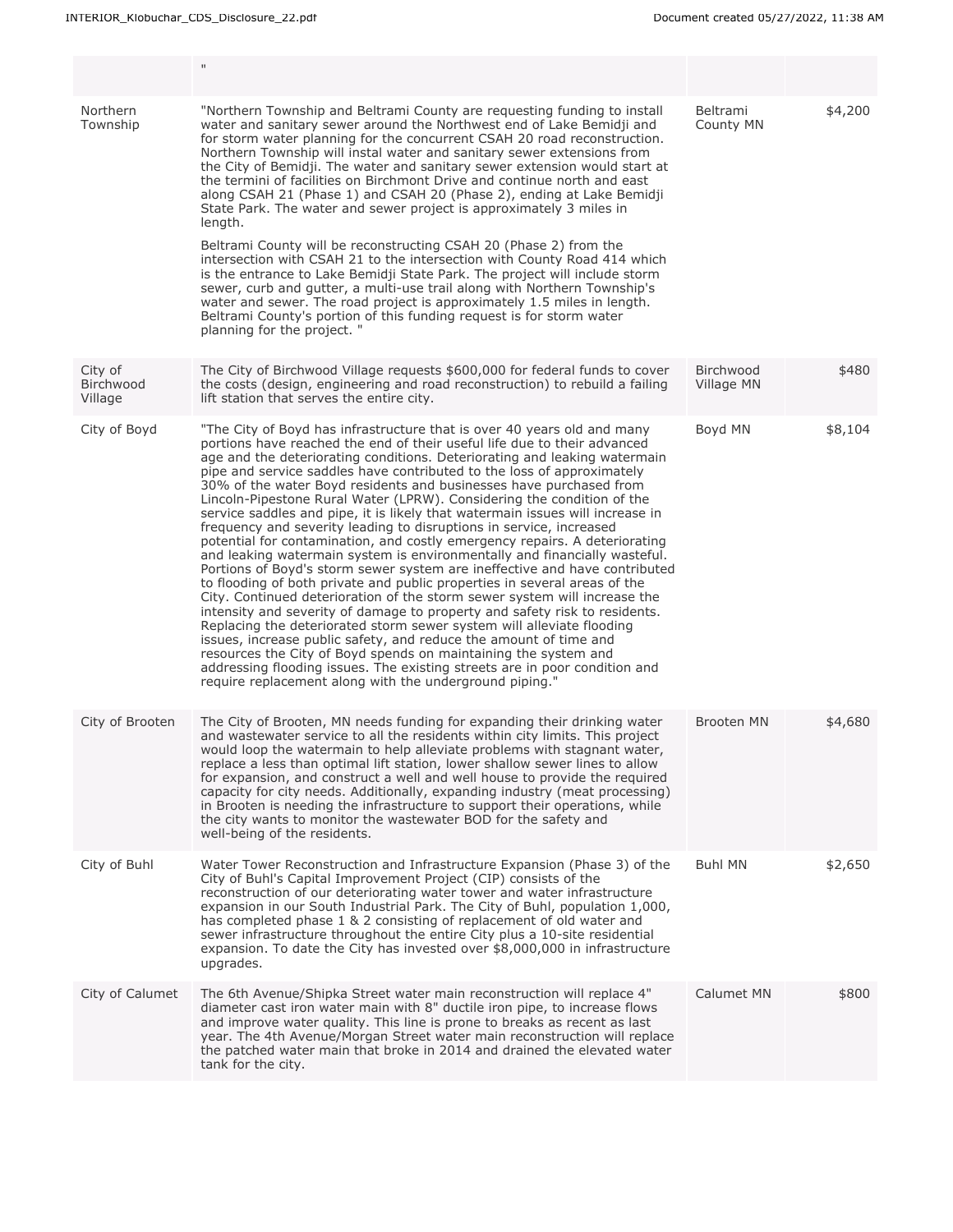|                                 | $\mathbf{H}$                                                                                                                                                                                                                                                                                                                                                                                                                                                                                                                                                                                                                                                                                                                                                                                                                                                                                                                                                                                                                                                                                                                                                                                                                                                                                                                                                                                                                                                  |                         |         |
|---------------------------------|---------------------------------------------------------------------------------------------------------------------------------------------------------------------------------------------------------------------------------------------------------------------------------------------------------------------------------------------------------------------------------------------------------------------------------------------------------------------------------------------------------------------------------------------------------------------------------------------------------------------------------------------------------------------------------------------------------------------------------------------------------------------------------------------------------------------------------------------------------------------------------------------------------------------------------------------------------------------------------------------------------------------------------------------------------------------------------------------------------------------------------------------------------------------------------------------------------------------------------------------------------------------------------------------------------------------------------------------------------------------------------------------------------------------------------------------------------------|-------------------------|---------|
| Northern<br>Township            | "Northern Township and Beltrami County are reguesting funding to install<br>water and sanitary sewer around the Northwest end of Lake Bemidji and<br>for storm water planning for the concurrent CSAH 20 road reconstruction.<br>Northern Township will instal water and sanitary sewer extensions from<br>the City of Bemidji. The water and sanitary sewer extension would start at<br>the termini of facilities on Birchmont Drive and continue north and east<br>along CSAH 21 (Phase 1) and CSAH 20 (Phase 2), ending at Lake Bemidji<br>State Park. The water and sewer project is approximately 3 miles in<br>length.<br>Beltrami County will be reconstructing CSAH 20 (Phase 2) from the<br>intersection with CSAH 21 to the intersection with County Road 414 which<br>is the entrance to Lake Bemidji State Park. The project will include storm<br>sewer, curb and gutter, a multi-use trail along with Northern Township's<br>water and sewer. The road project is approximately 1.5 miles in length.<br>Beltrami County's portion of this funding request is for storm water<br>planning for the project. "                                                                                                                                                                                                                                                                                                                                     | Beltrami<br>County MN   | \$4,200 |
| City of<br>Birchwood<br>Village | The City of Birchwood Village requests \$600,000 for federal funds to cover<br>the costs (design, engineering and road reconstruction) to rebuild a failing<br>lift station that serves the entire city.                                                                                                                                                                                                                                                                                                                                                                                                                                                                                                                                                                                                                                                                                                                                                                                                                                                                                                                                                                                                                                                                                                                                                                                                                                                      | Birchwood<br>Village MN | \$480   |
| City of Boyd                    | "The City of Boyd has infrastructure that is over 40 years old and many<br>portions have reached the end of their useful life due to their advanced<br>age and the deteriorating conditions. Deteriorating and leaking watermain<br>pipe and service saddles have contributed to the loss of approximately<br>30% of the water Boyd residents and businesses have purchased from<br>Lincoln-Pipestone Rural Water (LPRW). Considering the condition of the<br>service saddles and pipe, it is likely that watermain issues will increase in<br>frequency and severity leading to disruptions in service, increased<br>potential for contamination, and costly emergency repairs. A deteriorating<br>and leaking watermain system is environmentally and financially wasteful.<br>Portions of Boyd's storm sewer system are ineffective and have contributed<br>to flooding of both private and public properties in several areas of the<br>City. Continued deterioration of the storm sewer system will increase the<br>intensity and severity of damage to property and safety risk to residents.<br>Replacing the deteriorated storm sewer system will alleviate flooding<br>issues, increase public safety, and reduce the amount of time and<br>resources the City of Boyd spends on maintaining the system and<br>addressing flooding issues. The existing streets are in poor condition and<br>require replacement along with the underground piping." | Boyd MN                 | \$8,104 |
| City of Brooten                 | The City of Brooten, MN needs funding for expanding their drinking water<br>and wastewater service to all the residents within city limits. This project<br>would loop the watermain to help alleviate problems with stagnant water,<br>replace a less than optimal lift station, lower shallow sewer lines to allow<br>for expansion, and construct a well and well house to provide the required<br>capacity for city needs. Additionally, expanding industry (meat processing)<br>in Brooten is needing the infrastructure to support their operations, while<br>the city wants to monitor the wastewater BOD for the safety and<br>well-being of the residents.                                                                                                                                                                                                                                                                                                                                                                                                                                                                                                                                                                                                                                                                                                                                                                                           | Brooten MN              | \$4,680 |
| City of Buhl                    | Water Tower Reconstruction and Infrastructure Expansion (Phase 3) of the<br>City of Buhl's Capital Improvement Project (CIP) consists of the<br>reconstruction of our deteriorating water tower and water infrastructure<br>expansion in our South Industrial Park. The City of Buhl, population 1,000,<br>has completed phase 1 & 2 consisting of replacement of old water and<br>sewer infrastructure throughout the entire City plus a 10-site residential<br>expansion. To date the City has invested over \$8,000,000 in infrastructure<br>upgrades.                                                                                                                                                                                                                                                                                                                                                                                                                                                                                                                                                                                                                                                                                                                                                                                                                                                                                                     | <b>Buhl MN</b>          | \$2,650 |
| City of Calumet                 | The 6th Avenue/Shipka Street water main reconstruction will replace 4"<br>diameter cast iron water main with 8" ductile iron pipe, to increase flows<br>and improve water quality. This line is prone to breaks as recent as last<br>year. The 4th Avenue/Morgan Street water main reconstruction will replace<br>the patched water main that broke in 2014 and drained the elevated water<br>tank for the city.                                                                                                                                                                                                                                                                                                                                                                                                                                                                                                                                                                                                                                                                                                                                                                                                                                                                                                                                                                                                                                              | Calumet MN              | \$800   |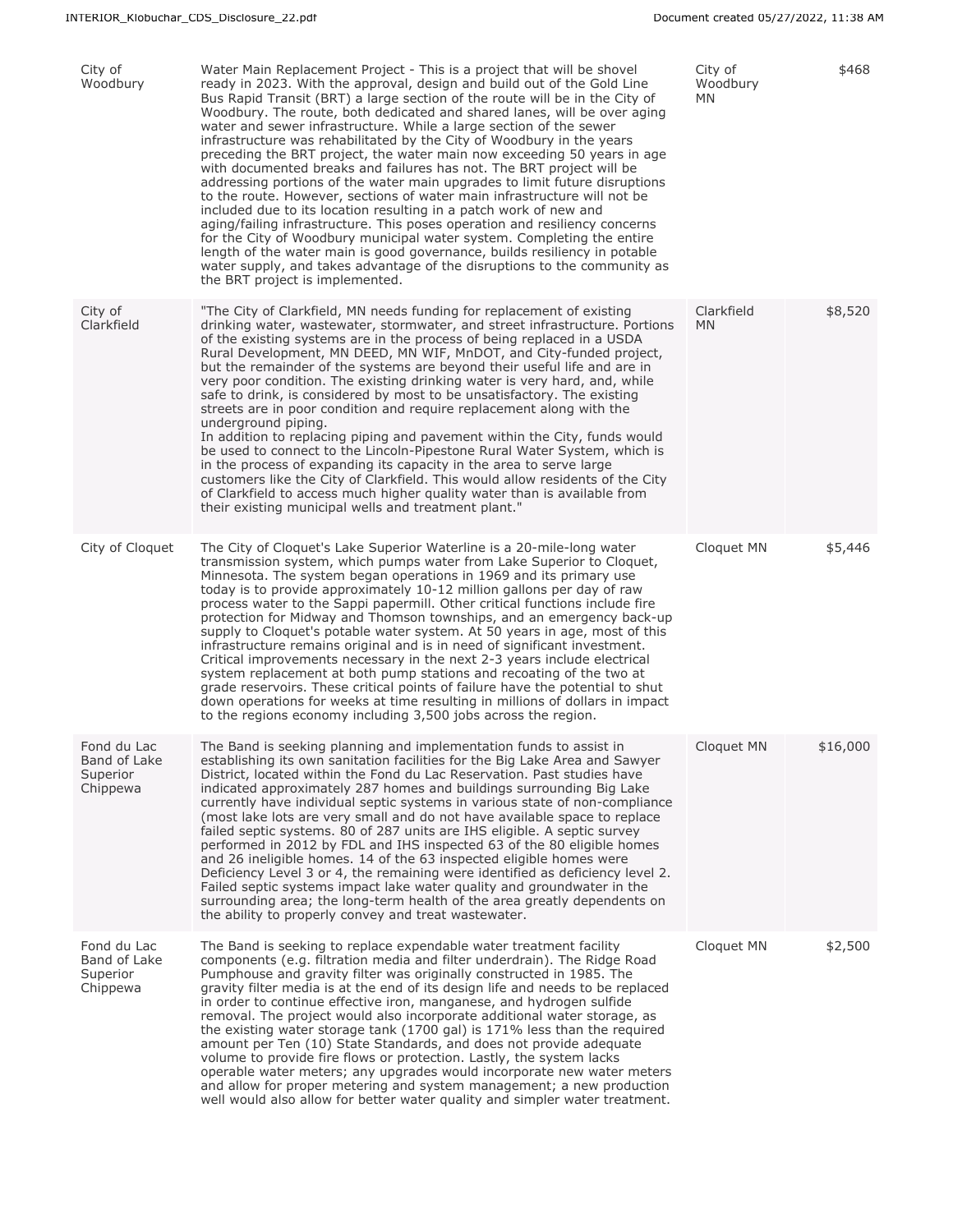| City of<br>Woodbury                                 | Water Main Replacement Project - This is a project that will be shovel<br>ready in 2023. With the approval, design and build out of the Gold Line<br>Bus Rapid Transit (BRT) a large section of the route will be in the City of<br>Woodbury. The route, both dedicated and shared lanes, will be over aging<br>water and sewer infrastructure. While a large section of the sewer<br>infrastructure was rehabilitated by the City of Woodbury in the years<br>preceding the BRT project, the water main now exceeding 50 years in age<br>with documented breaks and failures has not. The BRT project will be<br>addressing portions of the water main upgrades to limit future disruptions<br>to the route. However, sections of water main infrastructure will not be<br>included due to its location resulting in a patch work of new and<br>aging/failing infrastructure. This poses operation and resiliency concerns<br>for the City of Woodbury municipal water system. Completing the entire<br>length of the water main is good governance, builds resiliency in potable<br>water supply, and takes advantage of the disruptions to the community as<br>the BRT project is implemented. | City of<br>Woodbury<br>MN | \$468    |
|-----------------------------------------------------|---------------------------------------------------------------------------------------------------------------------------------------------------------------------------------------------------------------------------------------------------------------------------------------------------------------------------------------------------------------------------------------------------------------------------------------------------------------------------------------------------------------------------------------------------------------------------------------------------------------------------------------------------------------------------------------------------------------------------------------------------------------------------------------------------------------------------------------------------------------------------------------------------------------------------------------------------------------------------------------------------------------------------------------------------------------------------------------------------------------------------------------------------------------------------------------------------|---------------------------|----------|
| City of<br>Clarkfield                               | "The City of Clarkfield, MN needs funding for replacement of existing<br>drinking water, wastewater, stormwater, and street infrastructure. Portions<br>of the existing systems are in the process of being replaced in a USDA<br>Rural Development, MN DEED, MN WIF, MnDOT, and City-funded project,<br>but the remainder of the systems are beyond their useful life and are in<br>very poor condition. The existing drinking water is very hard, and, while<br>safe to drink, is considered by most to be unsatisfactory. The existing<br>streets are in poor condition and require replacement along with the<br>underground piping.<br>In addition to replacing piping and pavement within the City, funds would<br>be used to connect to the Lincoln-Pipestone Rural Water System, which is<br>in the process of expanding its capacity in the area to serve large<br>customers like the City of Clarkfield. This would allow residents of the City<br>of Clarkfield to access much higher quality water than is available from<br>their existing municipal wells and treatment plant."                                                                                                     | Clarkfield<br><b>MN</b>   | \$8,520  |
| City of Cloquet                                     | The City of Cloquet's Lake Superior Waterline is a 20-mile-long water<br>transmission system, which pumps water from Lake Superior to Cloquet,<br>Minnesota. The system began operations in 1969 and its primary use<br>today is to provide approximately 10-12 million gallons per day of raw<br>process water to the Sappi papermill. Other critical functions include fire<br>protection for Midway and Thomson townships, and an emergency back-up<br>supply to Cloquet's potable water system. At 50 years in age, most of this<br>infrastructure remains original and is in need of significant investment.<br>Critical improvements necessary in the next 2-3 years include electrical<br>system replacement at both pump stations and recoating of the two at<br>grade reservoirs. These critical points of failure have the potential to shut<br>down operations for weeks at time resulting in millions of dollars in impact<br>to the regions economy including 3,500 jobs across the region.                                                                                                                                                                                          | Cloquet MN                | \$5,446  |
| Fond du Lac<br>Band of Lake<br>Superior<br>Chippewa | The Band is seeking planning and implementation funds to assist in<br>establishing its own sanitation facilities for the Big Lake Area and Sawyer<br>District, located within the Fond du Lac Reservation. Past studies have<br>indicated approximately 287 homes and buildings surrounding Big Lake<br>currently have individual septic systems in various state of non-compliance<br>(most lake lots are very small and do not have available space to replace<br>failed septic systems. 80 of 287 units are IHS eligible. A septic survey<br>performed in 2012 by FDL and IHS inspected 63 of the 80 eligible homes<br>and 26 ineligible homes. 14 of the 63 inspected eligible homes were<br>Deficiency Level 3 or 4, the remaining were identified as deficiency level 2.<br>Failed septic systems impact lake water quality and groundwater in the<br>surrounding area; the long-term health of the area greatly dependents on<br>the ability to properly convey and treat wastewater.                                                                                                                                                                                                      | Cloquet MN                | \$16,000 |
| Fond du Lac<br>Band of Lake<br>Superior<br>Chippewa | The Band is seeking to replace expendable water treatment facility<br>components (e.g. filtration media and filter underdrain). The Ridge Road<br>Pumphouse and gravity filter was originally constructed in 1985. The<br>gravity filter media is at the end of its design life and needs to be replaced<br>in order to continue effective iron, manganese, and hydrogen sulfide<br>removal. The project would also incorporate additional water storage, as<br>the existing water storage tank (1700 gal) is 171% less than the required<br>amount per Ten (10) State Standards, and does not provide adequate<br>volume to provide fire flows or protection. Lastly, the system lacks<br>operable water meters; any upgrades would incorporate new water meters<br>and allow for proper metering and system management; a new production<br>well would also allow for better water quality and simpler water treatment.                                                                                                                                                                                                                                                                         | Cloquet MN                | \$2,500  |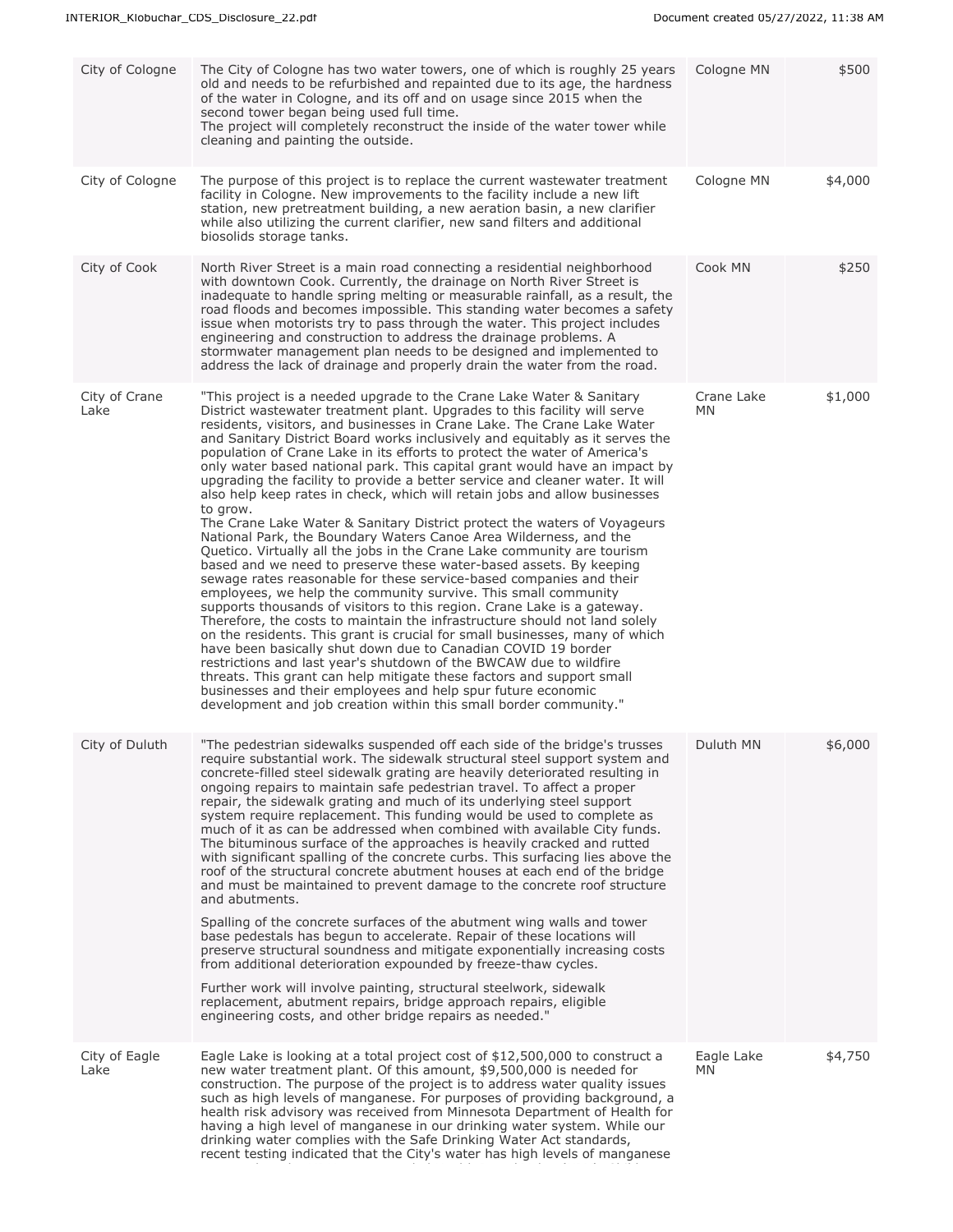| City of Cologne       | The City of Cologne has two water towers, one of which is roughly 25 years<br>old and needs to be refurbished and repainted due to its age, the hardness<br>of the water in Cologne, and its off and on usage since 2015 when the<br>second tower began being used full time.<br>The project will completely reconstruct the inside of the water tower while<br>cleaning and painting the outside.                                                                                                                                                                                                                                                                                                                                                                                                                                                                                                                                                                                                                                                                                                                                                                                                                                                                                                                                                                                                                                                                                                                                                                                                                                                                                         | Cologne MN        | \$500   |
|-----------------------|--------------------------------------------------------------------------------------------------------------------------------------------------------------------------------------------------------------------------------------------------------------------------------------------------------------------------------------------------------------------------------------------------------------------------------------------------------------------------------------------------------------------------------------------------------------------------------------------------------------------------------------------------------------------------------------------------------------------------------------------------------------------------------------------------------------------------------------------------------------------------------------------------------------------------------------------------------------------------------------------------------------------------------------------------------------------------------------------------------------------------------------------------------------------------------------------------------------------------------------------------------------------------------------------------------------------------------------------------------------------------------------------------------------------------------------------------------------------------------------------------------------------------------------------------------------------------------------------------------------------------------------------------------------------------------------------|-------------------|---------|
| City of Cologne       | The purpose of this project is to replace the current wastewater treatment<br>facility in Cologne. New improvements to the facility include a new lift<br>station, new pretreatment building, a new aeration basin, a new clarifier<br>while also utilizing the current clarifier, new sand filters and additional<br>biosolids storage tanks.                                                                                                                                                                                                                                                                                                                                                                                                                                                                                                                                                                                                                                                                                                                                                                                                                                                                                                                                                                                                                                                                                                                                                                                                                                                                                                                                             | Cologne MN        | \$4,000 |
| City of Cook          | North River Street is a main road connecting a residential neighborhood<br>with downtown Cook. Currently, the drainage on North River Street is<br>inadequate to handle spring melting or measurable rainfall, as a result, the<br>road floods and becomes impossible. This standing water becomes a safety<br>issue when motorists try to pass through the water. This project includes<br>engineering and construction to address the drainage problems. A<br>stormwater management plan needs to be designed and implemented to<br>address the lack of drainage and properly drain the water from the road.                                                                                                                                                                                                                                                                                                                                                                                                                                                                                                                                                                                                                                                                                                                                                                                                                                                                                                                                                                                                                                                                             | Cook MN           | \$250   |
| City of Crane<br>Lake | "This project is a needed upgrade to the Crane Lake Water & Sanitary<br>District wastewater treatment plant. Upgrades to this facility will serve<br>residents, visitors, and businesses in Crane Lake. The Crane Lake Water<br>and Sanitary District Board works inclusively and equitably as it serves the<br>population of Crane Lake in its efforts to protect the water of America's<br>only water based national park. This capital grant would have an impact by<br>upgrading the facility to provide a better service and cleaner water. It will<br>also help keep rates in check, which will retain jobs and allow businesses<br>to grow.<br>The Crane Lake Water & Sanitary District protect the waters of Voyageurs<br>National Park, the Boundary Waters Canoe Area Wilderness, and the<br>Quetico. Virtually all the jobs in the Crane Lake community are tourism<br>based and we need to preserve these water-based assets. By keeping<br>sewage rates reasonable for these service-based companies and their<br>employees, we help the community survive. This small community<br>supports thousands of visitors to this region. Crane Lake is a gateway.<br>Therefore, the costs to maintain the infrastructure should not land solely<br>on the residents. This grant is crucial for small businesses, many of which<br>have been basically shut down due to Canadian COVID 19 border<br>restrictions and last year's shutdown of the BWCAW due to wildfire<br>threats. This grant can help mitigate these factors and support small<br>businesses and their employees and help spur future economic<br>development and job creation within this small border community." | Crane Lake<br>MN  | \$1,000 |
| City of Duluth        | "The pedestrian sidewalks suspended off each side of the bridge's trusses<br>require substantial work. The sidewalk structural steel support system and<br>concrete-filled steel sidewalk grating are heavily deteriorated resulting in<br>ongoing repairs to maintain safe pedestrian travel. To affect a proper<br>repair, the sidewalk grating and much of its underlying steel support<br>system require replacement. This funding would be used to complete as<br>much of it as can be addressed when combined with available City funds.<br>The bituminous surface of the approaches is heavily cracked and rutted<br>with significant spalling of the concrete curbs. This surfacing lies above the<br>roof of the structural concrete abutment houses at each end of the bridge<br>and must be maintained to prevent damage to the concrete roof structure<br>and abutments.<br>Spalling of the concrete surfaces of the abutment wing walls and tower<br>base pedestals has begun to accelerate. Repair of these locations will<br>preserve structural soundness and mitigate exponentially increasing costs<br>from additional deterioration expounded by freeze-thaw cycles.<br>Further work will involve painting, structural steelwork, sidewalk<br>replacement, abutment repairs, bridge approach repairs, eligible<br>engineering costs, and other bridge repairs as needed."                                                                                                                                                                                                                                                                                               | Duluth MN         | \$6,000 |
| City of Eagle<br>Lake | Eagle Lake is looking at a total project cost of \$12,500,000 to construct a<br>new water treatment plant. Of this amount, \$9,500,000 is needed for<br>construction. The purpose of the project is to address water quality issues<br>such as high levels of manganese. For purposes of providing background, a<br>health risk advisory was received from Minnesota Department of Health for<br>having a high level of manganese in our drinking water system. While our<br>drinking water complies with the Safe Drinking Water Act standards,<br>recent testing indicated that the City's water has high levels of manganese                                                                                                                                                                                                                                                                                                                                                                                                                                                                                                                                                                                                                                                                                                                                                                                                                                                                                                                                                                                                                                                            | Eagle Lake<br>MN. | \$4,750 |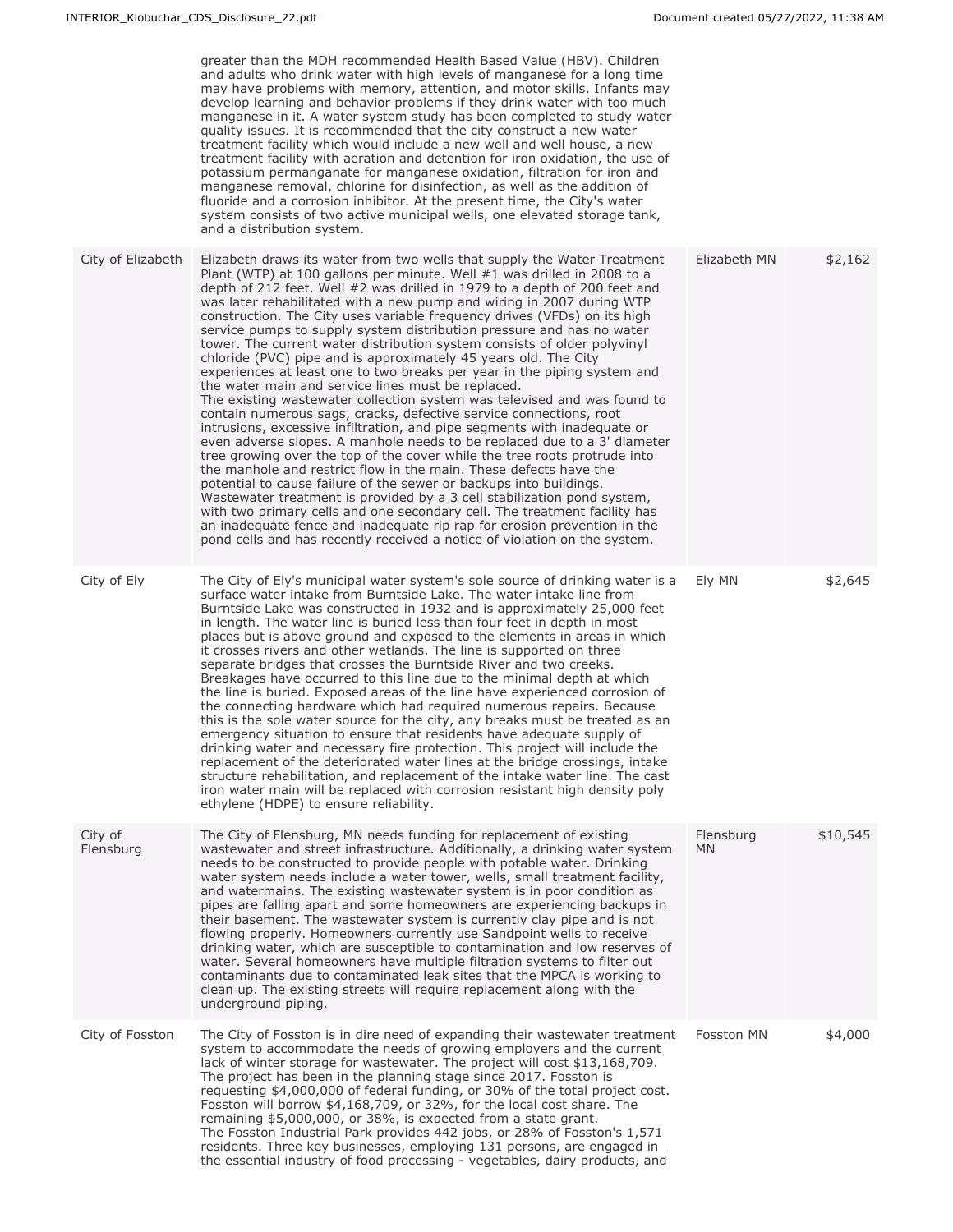|                      | greater than the MDH recommended Health Based Value (HBV). Children<br>and adults who drink water with high levels of manganese for a long time<br>may have problems with memory, attention, and motor skills. Infants may<br>develop learning and behavior problems if they drink water with too much<br>manganese in it. A water system study has been completed to study water<br>quality issues. It is recommended that the city construct a new water<br>treatment facility which would include a new well and well house, a new<br>treatment facility with aeration and detention for iron oxidation, the use of<br>potassium permanganate for manganese oxidation, filtration for iron and<br>manganese removal, chlorine for disinfection, as well as the addition of<br>fluoride and a corrosion inhibitor. At the present time, the City's water<br>system consists of two active municipal wells, one elevated storage tank,<br>and a distribution system.                                                                                                                                                                                                                                                                                                                                                                                                                                                                                                                                                                                                                                |                        |          |
|----------------------|------------------------------------------------------------------------------------------------------------------------------------------------------------------------------------------------------------------------------------------------------------------------------------------------------------------------------------------------------------------------------------------------------------------------------------------------------------------------------------------------------------------------------------------------------------------------------------------------------------------------------------------------------------------------------------------------------------------------------------------------------------------------------------------------------------------------------------------------------------------------------------------------------------------------------------------------------------------------------------------------------------------------------------------------------------------------------------------------------------------------------------------------------------------------------------------------------------------------------------------------------------------------------------------------------------------------------------------------------------------------------------------------------------------------------------------------------------------------------------------------------------------------------------------------------------------------------------------------------|------------------------|----------|
| City of Elizabeth    | Elizabeth draws its water from two wells that supply the Water Treatment<br>Plant (WTP) at 100 gallons per minute. Well $#1$ was drilled in 2008 to a<br>depth of 212 feet. Well #2 was drilled in 1979 to a depth of 200 feet and<br>was later rehabilitated with a new pump and wiring in 2007 during WTP<br>construction. The City uses variable frequency drives (VFDs) on its high<br>service pumps to supply system distribution pressure and has no water<br>tower. The current water distribution system consists of older polyvinyl<br>chloride (PVC) pipe and is approximately 45 years old. The City<br>experiences at least one to two breaks per year in the piping system and<br>the water main and service lines must be replaced.<br>The existing wastewater collection system was televised and was found to<br>contain numerous sags, cracks, defective service connections, root<br>intrusions, excessive infiltration, and pipe segments with inadequate or<br>even adverse slopes. A manhole needs to be replaced due to a 3' diameter<br>tree growing over the top of the cover while the tree roots protrude into<br>the manhole and restrict flow in the main. These defects have the<br>potential to cause failure of the sewer or backups into buildings.<br>Wastewater treatment is provided by a 3 cell stabilization pond system,<br>with two primary cells and one secondary cell. The treatment facility has<br>an inadequate fence and inadequate rip rap for erosion prevention in the<br>pond cells and has recently received a notice of violation on the system. | Elizabeth MN           | \$2,162  |
| City of Ely          | The City of Ely's municipal water system's sole source of drinking water is a<br>surface water intake from Burntside Lake. The water intake line from<br>Burntside Lake was constructed in 1932 and is approximately 25,000 feet<br>in length. The water line is buried less than four feet in depth in most<br>places but is above ground and exposed to the elements in areas in which<br>it crosses rivers and other wetlands. The line is supported on three<br>separate bridges that crosses the Burntside River and two creeks.<br>Breakages have occurred to this line due to the minimal depth at which<br>the line is buried. Exposed areas of the line have experienced corrosion of<br>the connecting hardware which had required numerous repairs. Because<br>this is the sole water source for the city, any breaks must be treated as an<br>emergency situation to ensure that residents have adequate supply of<br>drinking water and necessary fire protection. This project will include the<br>replacement of the deteriorated water lines at the bridge crossings, intake<br>structure rehabilitation, and replacement of the intake water line. The cast<br>iron water main will be replaced with corrosion resistant high density poly<br>ethylene (HDPE) to ensure reliability.                                                                                                                                                                                                                                                                                                | Ely MN                 | \$2,645  |
| City of<br>Flensburg | The City of Flensburg, MN needs funding for replacement of existing<br>wastewater and street infrastructure. Additionally, a drinking water system<br>needs to be constructed to provide people with potable water. Drinking<br>water system needs include a water tower, wells, small treatment facility,<br>and watermains. The existing wastewater system is in poor condition as<br>pipes are falling apart and some homeowners are experiencing backups in<br>their basement. The wastewater system is currently clay pipe and is not<br>flowing properly. Homeowners currently use Sandpoint wells to receive<br>drinking water, which are susceptible to contamination and low reserves of<br>water. Several homeowners have multiple filtration systems to filter out<br>contaminants due to contaminated leak sites that the MPCA is working to<br>clean up. The existing streets will require replacement along with the<br>underground piping.                                                                                                                                                                                                                                                                                                                                                                                                                                                                                                                                                                                                                                            | Flensburg<br><b>MN</b> | \$10,545 |
| City of Fosston      | The City of Fosston is in dire need of expanding their wastewater treatment<br>system to accommodate the needs of growing employers and the current<br>lack of winter storage for wastewater. The project will cost \$13,168,709.<br>The project has been in the planning stage since 2017. Fosston is<br>requesting \$4,000,000 of federal funding, or 30% of the total project cost.<br>Fosston will borrow \$4,168,709, or 32%, for the local cost share. The<br>remaining \$5,000,000, or 38%, is expected from a state grant.<br>The Fosston Industrial Park provides 442 jobs, or 28% of Fosston's 1,571<br>residents. Three key businesses, employing 131 persons, are engaged in<br>the essential industry of food processing - vegetables, dairy products, and                                                                                                                                                                                                                                                                                                                                                                                                                                                                                                                                                                                                                                                                                                                                                                                                                              | Fosston MN             | \$4,000  |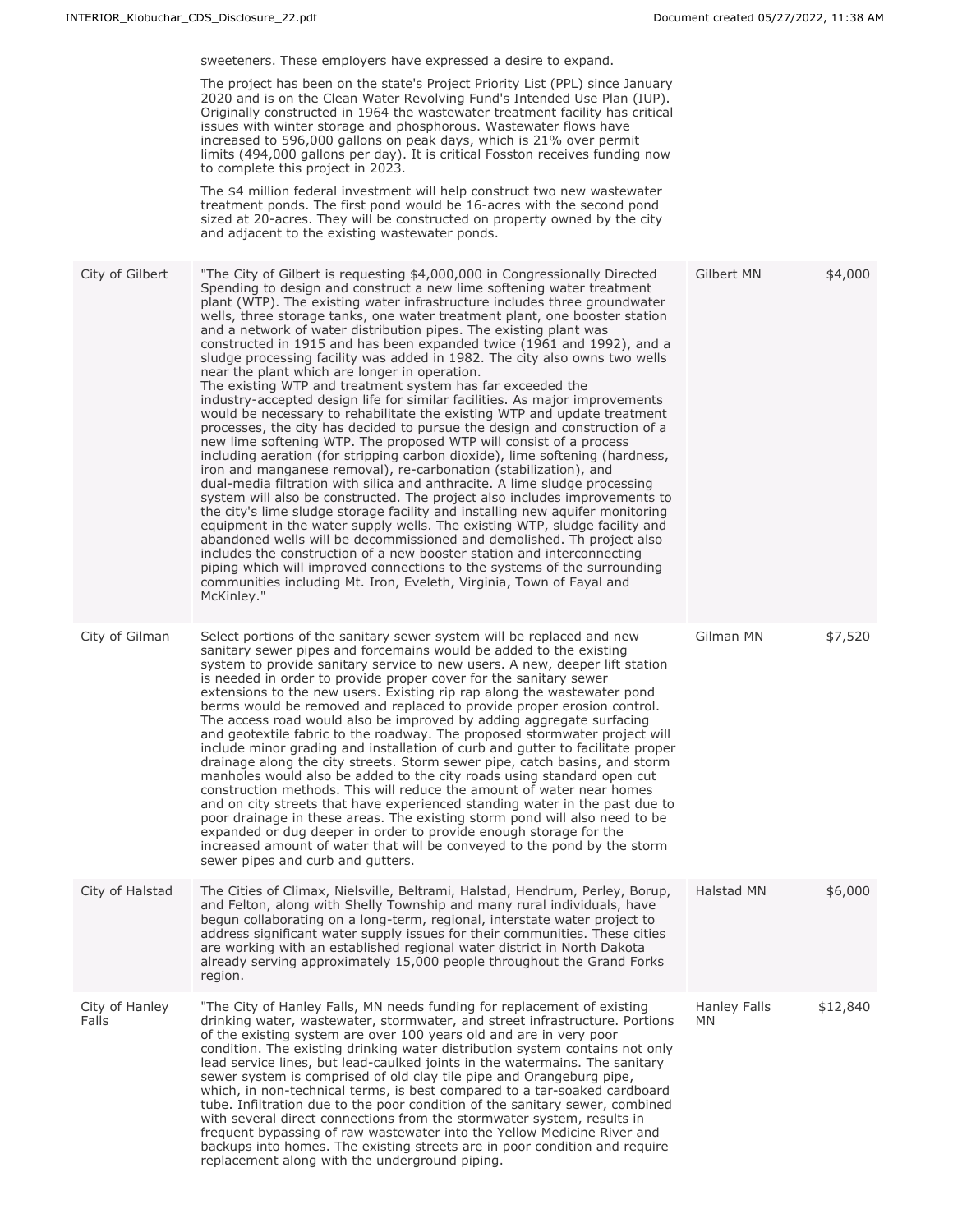sweeteners. These employers have expressed a desire to expand.

The project has been on the state's Project Priority List (PPL) since January 2020 and is on the Clean Water Revolving Fund's Intended Use Plan (IUP). Originally constructed in 1964 the wastewater treatment facility has critical issues with winter storage and phosphorous. Wastewater flows have increased to 596,000 gallons on peak days, which is 21% over permit limits (494,000 gallons per day). It is critical Fosston receives funding now to complete this project in 2023.

The \$4 million federal investment will help construct two new wastewater treatment ponds. The first pond would be 16-acres with the second pond sized at 20-acres. They will be constructed on property owned by the city and adjacent to the existing wastewater ponds.

| City of Gilbert         | "The City of Gilbert is requesting \$4,000,000 in Congressionally Directed<br>Spending to design and construct a new lime softening water treatment<br>plant (WTP). The existing water infrastructure includes three groundwater<br>wells, three storage tanks, one water treatment plant, one booster station<br>and a network of water distribution pipes. The existing plant was<br>constructed in 1915 and has been expanded twice (1961 and 1992), and a<br>sludge processing facility was added in 1982. The city also owns two wells<br>near the plant which are longer in operation.<br>The existing WTP and treatment system has far exceeded the<br>industry-accepted design life for similar facilities. As major improvements<br>would be necessary to rehabilitate the existing WTP and update treatment<br>processes, the city has decided to pursue the design and construction of a<br>new lime softening WTP. The proposed WTP will consist of a process<br>including aeration (for stripping carbon dioxide), lime softening (hardness,<br>iron and manganese removal), re-carbonation (stabilization), and<br>dual-media filtration with silica and anthracite. A lime sludge processing<br>system will also be constructed. The project also includes improvements to<br>the city's lime sludge storage facility and installing new aquifer monitoring<br>equipment in the water supply wells. The existing WTP, sludge facility and<br>abandoned wells will be decommissioned and demolished. Th project also<br>includes the construction of a new booster station and interconnecting<br>piping which will improved connections to the systems of the surrounding<br>communities including Mt. Iron, Eveleth, Virginia, Town of Fayal and<br>McKinley." | Gilbert MN                | \$4,000  |
|-------------------------|--------------------------------------------------------------------------------------------------------------------------------------------------------------------------------------------------------------------------------------------------------------------------------------------------------------------------------------------------------------------------------------------------------------------------------------------------------------------------------------------------------------------------------------------------------------------------------------------------------------------------------------------------------------------------------------------------------------------------------------------------------------------------------------------------------------------------------------------------------------------------------------------------------------------------------------------------------------------------------------------------------------------------------------------------------------------------------------------------------------------------------------------------------------------------------------------------------------------------------------------------------------------------------------------------------------------------------------------------------------------------------------------------------------------------------------------------------------------------------------------------------------------------------------------------------------------------------------------------------------------------------------------------------------------------------------------------------------------------------------------------------------------------------|---------------------------|----------|
| City of Gilman          | Select portions of the sanitary sewer system will be replaced and new<br>sanitary sewer pipes and forcemains would be added to the existing<br>system to provide sanitary service to new users. A new, deeper lift station<br>is needed in order to provide proper cover for the sanitary sewer<br>extensions to the new users. Existing rip rap along the wastewater pond<br>berms would be removed and replaced to provide proper erosion control.<br>The access road would also be improved by adding aggregate surfacing<br>and geotextile fabric to the roadway. The proposed stormwater project will<br>include minor grading and installation of curb and gutter to facilitate proper<br>drainage along the city streets. Storm sewer pipe, catch basins, and storm<br>manholes would also be added to the city roads using standard open cut<br>construction methods. This will reduce the amount of water near homes<br>and on city streets that have experienced standing water in the past due to<br>poor drainage in these areas. The existing storm pond will also need to be<br>expanded or dug deeper in order to provide enough storage for the<br>increased amount of water that will be conveyed to the pond by the storm<br>sewer pipes and curb and gutters.                                                                                                                                                                                                                                                                                                                                                                                                                                                                                               | Gilman MN                 | \$7,520  |
| City of Halstad         | The Cities of Climax, Nielsville, Beltrami, Halstad, Hendrum, Perley, Borup,<br>and Felton, along with Shelly Township and many rural individuals, have<br>begun collaborating on a long-term, regional, interstate water project to<br>address significant water supply issues for their communities. These cities<br>are working with an established regional water district in North Dakota<br>already serving approximately 15,000 people throughout the Grand Forks<br>region.                                                                                                                                                                                                                                                                                                                                                                                                                                                                                                                                                                                                                                                                                                                                                                                                                                                                                                                                                                                                                                                                                                                                                                                                                                                                                            | Halstad MN                | \$6,000  |
| City of Hanley<br>Falls | "The City of Hanley Falls, MN needs funding for replacement of existing<br>drinking water, wastewater, stormwater, and street infrastructure. Portions<br>of the existing system are over 100 years old and are in very poor<br>condition. The existing drinking water distribution system contains not only<br>lead service lines, but lead-caulked joints in the watermains. The sanitary<br>sewer system is comprised of old clay tile pipe and Orangeburg pipe,<br>which, in non-technical terms, is best compared to a tar-soaked cardboard<br>tube. Infiltration due to the poor condition of the sanitary sewer, combined<br>with several direct connections from the stormwater system, results in<br>frequent bypassing of raw wastewater into the Yellow Medicine River and<br>backups into homes. The existing streets are in poor condition and require<br>replacement along with the underground piping.                                                                                                                                                                                                                                                                                                                                                                                                                                                                                                                                                                                                                                                                                                                                                                                                                                                          | <b>Hanley Falls</b><br>МN | \$12,840 |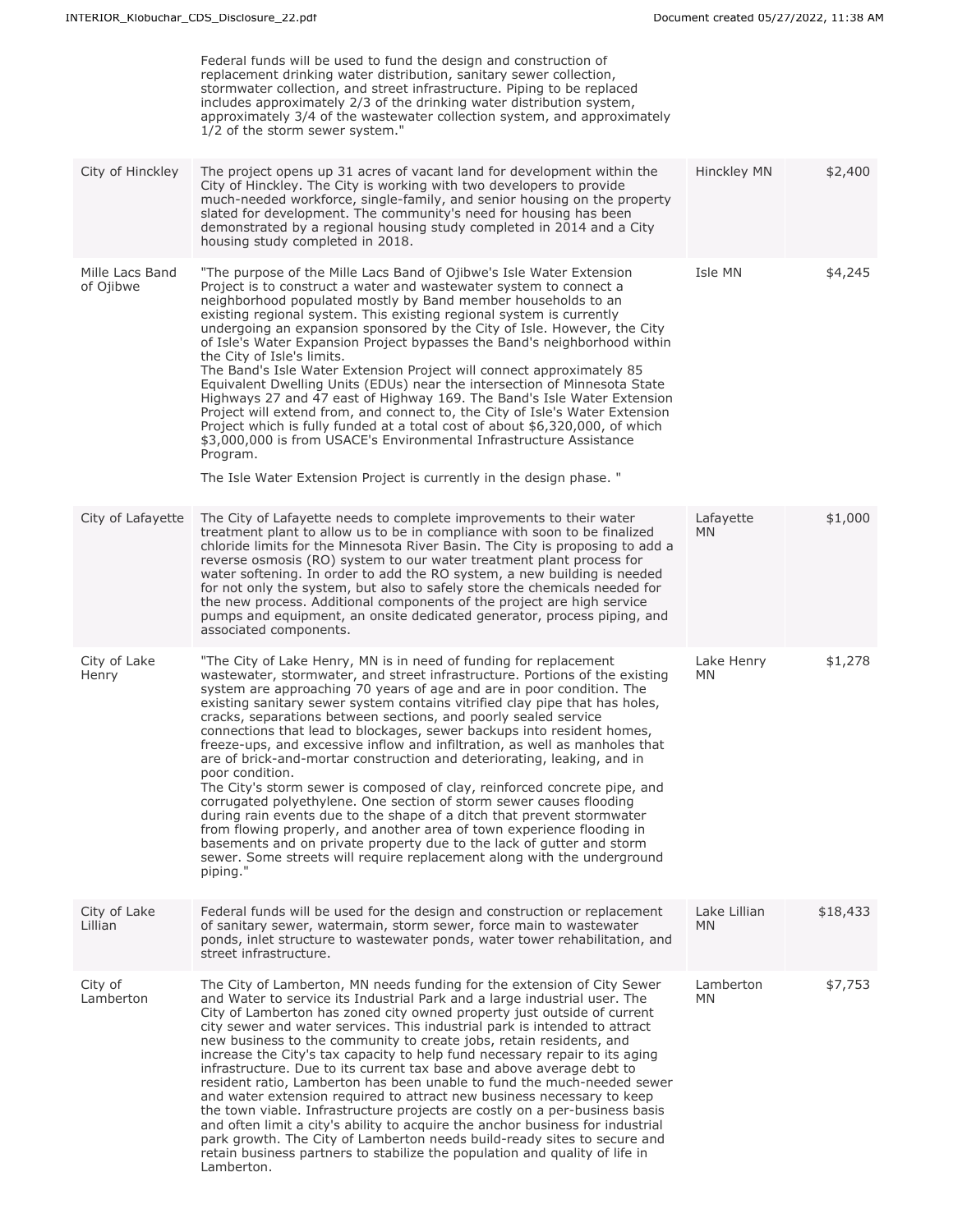|                              | Federal funds will be used to fund the design and construction of<br>replacement drinking water distribution, sanitary sewer collection,<br>stormwater collection, and street infrastructure. Piping to be replaced<br>includes approximately 2/3 of the drinking water distribution system,<br>approximately 3/4 of the wastewater collection system, and approximately<br>1/2 of the storm sewer system."                                                                                                                                                                                                                                                                                                                                                                                                                                                                                                                                                                                                                                                                                                |                        |          |
|------------------------------|------------------------------------------------------------------------------------------------------------------------------------------------------------------------------------------------------------------------------------------------------------------------------------------------------------------------------------------------------------------------------------------------------------------------------------------------------------------------------------------------------------------------------------------------------------------------------------------------------------------------------------------------------------------------------------------------------------------------------------------------------------------------------------------------------------------------------------------------------------------------------------------------------------------------------------------------------------------------------------------------------------------------------------------------------------------------------------------------------------|------------------------|----------|
| City of Hinckley             | The project opens up 31 acres of vacant land for development within the<br>City of Hinckley. The City is working with two developers to provide<br>much-needed workforce, single-family, and senior housing on the property<br>slated for development. The community's need for housing has been<br>demonstrated by a regional housing study completed in 2014 and a City<br>housing study completed in 2018.                                                                                                                                                                                                                                                                                                                                                                                                                                                                                                                                                                                                                                                                                              | Hinckley MN            | \$2,400  |
| Mille Lacs Band<br>of Ojibwe | "The purpose of the Mille Lacs Band of Ojibwe's Isle Water Extension<br>Project is to construct a water and wastewater system to connect a<br>neighborhood populated mostly by Band member households to an<br>existing regional system. This existing regional system is currently<br>undergoing an expansion sponsored by the City of Isle. However, the City<br>of Isle's Water Expansion Project bypasses the Band's neighborhood within<br>the City of Isle's limits.<br>The Band's Isle Water Extension Project will connect approximately 85<br>Equivalent Dwelling Units (EDUs) near the intersection of Minnesota State<br>Highways 27 and 47 east of Highway 169. The Band's Isle Water Extension<br>Project will extend from, and connect to, the City of Isle's Water Extension<br>Project which is fully funded at a total cost of about \$6,320,000, of which<br>\$3,000,000 is from USACE's Environmental Infrastructure Assistance<br>Program.<br>The Isle Water Extension Project is currently in the design phase. "                                                                     | Isle MN                | \$4,245  |
| City of Lafayette            | The City of Lafayette needs to complete improvements to their water<br>treatment plant to allow us to be in compliance with soon to be finalized<br>chloride limits for the Minnesota River Basin. The City is proposing to add a<br>reverse osmosis (RO) system to our water treatment plant process for<br>water softening. In order to add the RO system, a new building is needed<br>for not only the system, but also to safely store the chemicals needed for<br>the new process. Additional components of the project are high service<br>pumps and equipment, an onsite dedicated generator, process piping, and<br>associated components.                                                                                                                                                                                                                                                                                                                                                                                                                                                         | Lafayette<br><b>MN</b> | \$1,000  |
| City of Lake<br>Henry        | "The City of Lake Henry, MN is in need of funding for replacement<br>wastewater, stormwater, and street infrastructure. Portions of the existing<br>system are approaching 70 years of age and are in poor condition. The<br>existing sanitary sewer system contains vitrified clay pipe that has holes,<br>cracks, separations between sections, and poorly sealed service<br>connections that lead to blockages, sewer backups into resident homes,<br>freeze-ups, and excessive inflow and infiltration, as well as manholes that<br>are of brick-and-mortar construction and deteriorating, leaking, and in<br>poor condition.<br>The City's storm sewer is composed of clay, reinforced concrete pipe, and<br>corrugated polyethylene. One section of storm sewer causes flooding<br>during rain events due to the shape of a ditch that prevent stormwater<br>from flowing properly, and another area of town experience flooding in<br>basements and on private property due to the lack of gutter and storm<br>sewer. Some streets will require replacement along with the underground<br>piping." | Lake Henry<br>МN       | \$1,278  |
| City of Lake<br>Lillian      | Federal funds will be used for the design and construction or replacement<br>of sanitary sewer, watermain, storm sewer, force main to wastewater<br>ponds, inlet structure to wastewater ponds, water tower rehabilitation, and<br>street infrastructure.                                                                                                                                                                                                                                                                                                                                                                                                                                                                                                                                                                                                                                                                                                                                                                                                                                                  | Lake Lillian<br>MN     | \$18,433 |
| City of<br>Lamberton         | The City of Lamberton, MN needs funding for the extension of City Sewer<br>and Water to service its Industrial Park and a large industrial user. The<br>City of Lamberton has zoned city owned property just outside of current<br>city sewer and water services. This industrial park is intended to attract<br>new business to the community to create jobs, retain residents, and<br>increase the City's tax capacity to help fund necessary repair to its aging<br>infrastructure. Due to its current tax base and above average debt to<br>resident ratio, Lamberton has been unable to fund the much-needed sewer<br>and water extension required to attract new business necessary to keep<br>the town viable. Infrastructure projects are costly on a per-business basis<br>and often limit a city's ability to acquire the anchor business for industrial<br>park growth. The City of Lamberton needs build-ready sites to secure and<br>retain business partners to stabilize the population and quality of life in<br>Lamberton.                                                                | Lamberton<br>MN.       | \$7,753  |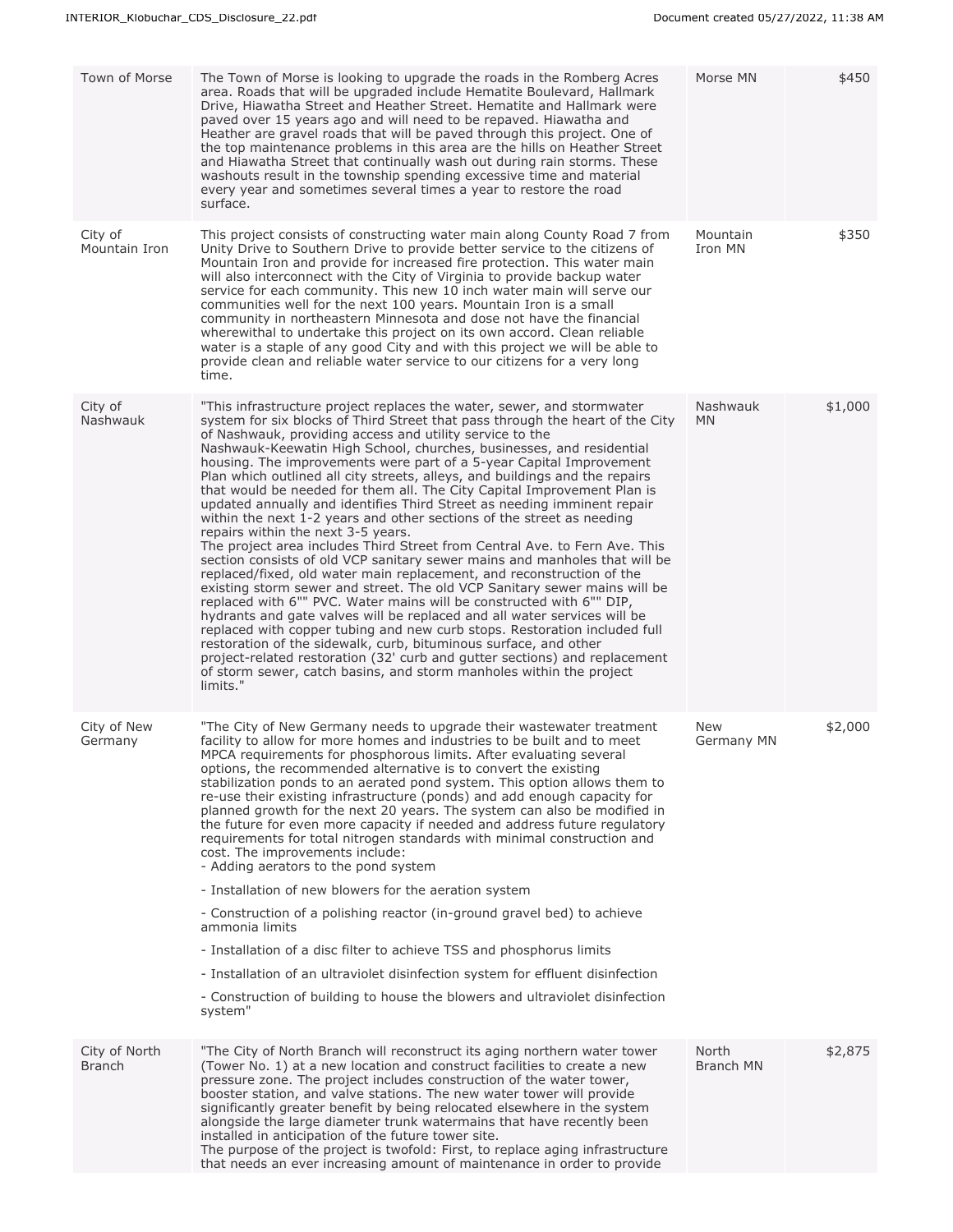| Town of Morse                  | The Town of Morse is looking to upgrade the roads in the Romberg Acres<br>area. Roads that will be upgraded include Hematite Boulevard, Hallmark<br>Drive, Hiawatha Street and Heather Street. Hematite and Hallmark were<br>paved over 15 years ago and will need to be repaved. Hiawatha and<br>Heather are gravel roads that will be paved through this project. One of<br>the top maintenance problems in this area are the hills on Heather Street<br>and Hiawatha Street that continually wash out during rain storms. These<br>washouts result in the township spending excessive time and material<br>every year and sometimes several times a year to restore the road<br>surface.                                                                                                                                                                                                                                                                                                                                                                                                                                                                                                                                                                                                                                                                                                                                                                                                                    | Morse MN              | \$450   |
|--------------------------------|----------------------------------------------------------------------------------------------------------------------------------------------------------------------------------------------------------------------------------------------------------------------------------------------------------------------------------------------------------------------------------------------------------------------------------------------------------------------------------------------------------------------------------------------------------------------------------------------------------------------------------------------------------------------------------------------------------------------------------------------------------------------------------------------------------------------------------------------------------------------------------------------------------------------------------------------------------------------------------------------------------------------------------------------------------------------------------------------------------------------------------------------------------------------------------------------------------------------------------------------------------------------------------------------------------------------------------------------------------------------------------------------------------------------------------------------------------------------------------------------------------------|-----------------------|---------|
| City of<br>Mountain Iron       | This project consists of constructing water main along County Road 7 from<br>Unity Drive to Southern Drive to provide better service to the citizens of<br>Mountain Iron and provide for increased fire protection. This water main<br>will also interconnect with the City of Virginia to provide backup water<br>service for each community. This new 10 inch water main will serve our<br>communities well for the next 100 years. Mountain Iron is a small<br>community in northeastern Minnesota and dose not have the financial<br>wherewithal to undertake this project on its own accord. Clean reliable<br>water is a staple of any good City and with this project we will be able to<br>provide clean and reliable water service to our citizens for a very long<br>time.                                                                                                                                                                                                                                                                                                                                                                                                                                                                                                                                                                                                                                                                                                                           | Mountain<br>Iron MN   | \$350   |
| City of<br>Nashwauk            | "This infrastructure project replaces the water, sewer, and stormwater<br>system for six blocks of Third Street that pass through the heart of the City<br>of Nashwauk, providing access and utility service to the<br>Nashwauk-Keewatin High School, churches, businesses, and residential<br>housing. The improvements were part of a 5-year Capital Improvement<br>Plan which outlined all city streets, alleys, and buildings and the repairs<br>that would be needed for them all. The City Capital Improvement Plan is<br>updated annually and identifies Third Street as needing imminent repair<br>within the next 1-2 years and other sections of the street as needing<br>repairs within the next 3-5 years.<br>The project area includes Third Street from Central Ave. to Fern Ave. This<br>section consists of old VCP sanitary sewer mains and manholes that will be<br>replaced/fixed, old water main replacement, and reconstruction of the<br>existing storm sewer and street. The old VCP Sanitary sewer mains will be<br>replaced with 6"" PVC. Water mains will be constructed with 6"" DIP,<br>hydrants and gate valves will be replaced and all water services will be<br>replaced with copper tubing and new curb stops. Restoration included full<br>restoration of the sidewalk, curb, bituminous surface, and other<br>project-related restoration (32' curb and gutter sections) and replacement<br>of storm sewer, catch basins, and storm manholes within the project<br>limits." | Nashwauk<br><b>MN</b> | \$1,000 |
| City of New<br>Germany         | "The City of New Germany needs to upgrade their wastewater treatment<br>facility to allow for more homes and industries to be built and to meet<br>MPCA requirements for phosphorous limits. After evaluating several<br>options, the recommended alternative is to convert the existing<br>stabilization ponds to an aerated pond system. This option allows them to<br>re-use their existing infrastructure (ponds) and add enough capacity for<br>planned growth for the next 20 years. The system can also be modified in<br>the future for even more capacity if needed and address future regulatory<br>requirements for total nitrogen standards with minimal construction and<br>cost. The improvements include:<br>- Adding aerators to the pond system<br>- Installation of new blowers for the aeration system<br>- Construction of a polishing reactor (in-ground gravel bed) to achieve<br>ammonia limits<br>- Installation of a disc filter to achieve TSS and phosphorus limits<br>- Installation of an ultraviolet disinfection system for effluent disinfection<br>- Construction of building to house the blowers and ultraviolet disinfection<br>system"                                                                                                                                                                                                                                                                                                                                    | New<br>Germany MN     | \$2,000 |
| City of North<br><b>Branch</b> | "The City of North Branch will reconstruct its aging northern water tower<br>(Tower No. 1) at a new location and construct facilities to create a new<br>pressure zone. The project includes construction of the water tower,<br>booster station, and valve stations. The new water tower will provide<br>significantly greater benefit by being relocated elsewhere in the system<br>alongside the large diameter trunk watermains that have recently been<br>installed in anticipation of the future tower site.<br>The purpose of the project is twofold: First, to replace aging infrastructure<br>that needs an ever increasing amount of maintenance in order to provide                                                                                                                                                                                                                                                                                                                                                                                                                                                                                                                                                                                                                                                                                                                                                                                                                                 | North<br>Branch MN    | \$2,875 |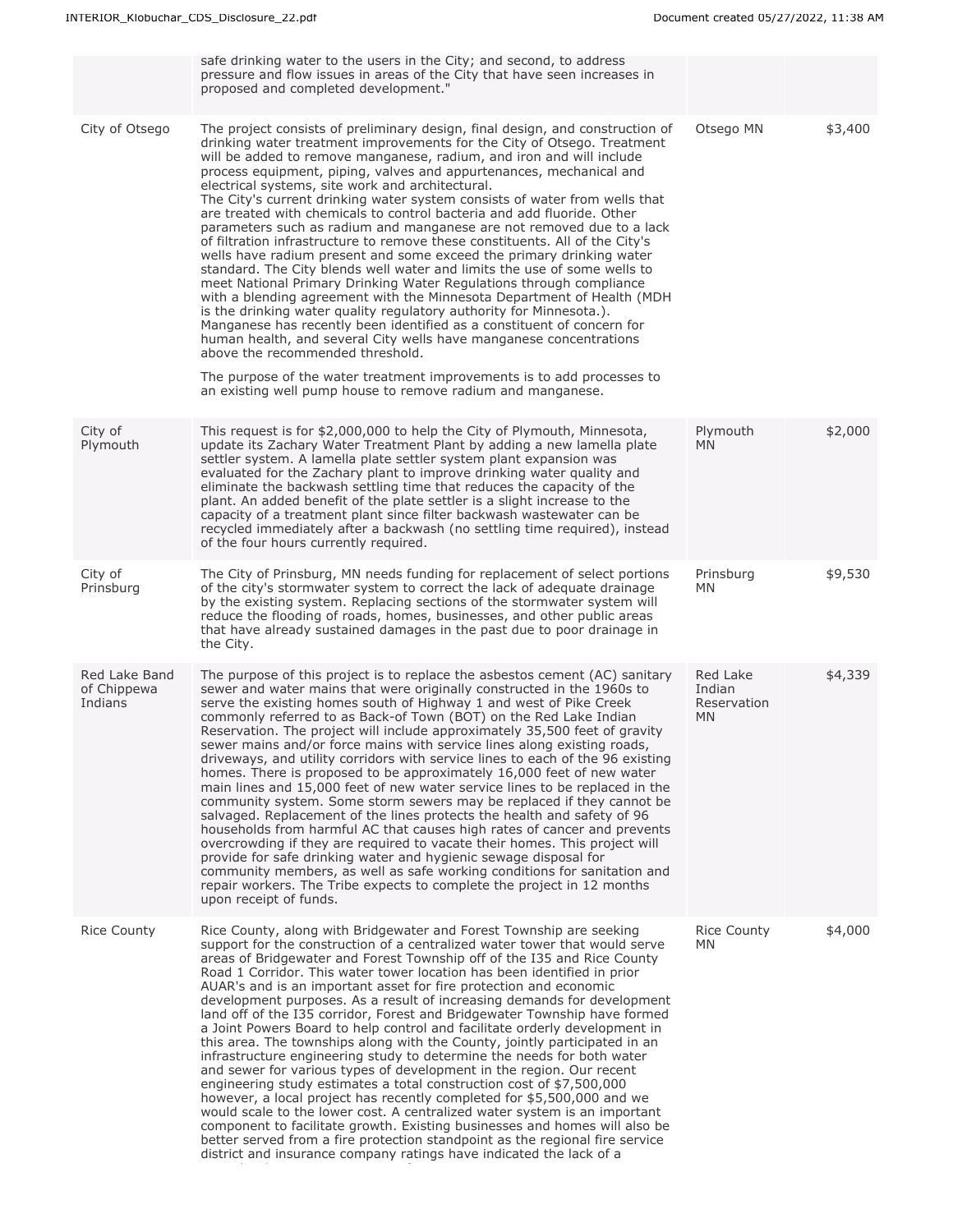|                                         | safe drinking water to the users in the City; and second, to address<br>pressure and flow issues in areas of the City that have seen increases in<br>proposed and completed development."                                                                                                                                                                                                                                                                                                                                                                                                                                                                                                                                                                                                                                                                                                                                                                                                                                                                                                                                                                                                                                                                                                                                                                                             |                                                |         |
|-----------------------------------------|---------------------------------------------------------------------------------------------------------------------------------------------------------------------------------------------------------------------------------------------------------------------------------------------------------------------------------------------------------------------------------------------------------------------------------------------------------------------------------------------------------------------------------------------------------------------------------------------------------------------------------------------------------------------------------------------------------------------------------------------------------------------------------------------------------------------------------------------------------------------------------------------------------------------------------------------------------------------------------------------------------------------------------------------------------------------------------------------------------------------------------------------------------------------------------------------------------------------------------------------------------------------------------------------------------------------------------------------------------------------------------------|------------------------------------------------|---------|
| City of Otsego                          | The project consists of preliminary design, final design, and construction of<br>drinking water treatment improvements for the City of Otsego. Treatment<br>will be added to remove manganese, radium, and iron and will include<br>process equipment, piping, valves and appurtenances, mechanical and<br>electrical systems, site work and architectural.<br>The City's current drinking water system consists of water from wells that<br>are treated with chemicals to control bacteria and add fluoride. Other<br>parameters such as radium and manganese are not removed due to a lack<br>of filtration infrastructure to remove these constituents. All of the City's<br>wells have radium present and some exceed the primary drinking water<br>standard. The City blends well water and limits the use of some wells to<br>meet National Primary Drinking Water Regulations through compliance<br>with a blending agreement with the Minnesota Department of Health (MDH<br>is the drinking water quality regulatory authority for Minnesota.).<br>Manganese has recently been identified as a constituent of concern for<br>human health, and several City wells have manganese concentrations<br>above the recommended threshold.<br>The purpose of the water treatment improvements is to add processes to<br>an existing well pump house to remove radium and manganese. | Otsego MN                                      | \$3,400 |
| City of<br>Plymouth                     | This request is for \$2,000,000 to help the City of Plymouth, Minnesota,<br>update its Zachary Water Treatment Plant by adding a new lamella plate<br>settler system. A lamella plate settler system plant expansion was<br>evaluated for the Zachary plant to improve drinking water quality and<br>eliminate the backwash settling time that reduces the capacity of the<br>plant. An added benefit of the plate settler is a slight increase to the<br>capacity of a treatment plant since filter backwash wastewater can be<br>recycled immediately after a backwash (no settling time required), instead<br>of the four hours currently required.                                                                                                                                                                                                                                                                                                                                                                                                                                                                                                                                                                                                                                                                                                                                | Plymouth<br>MN.                                | \$2,000 |
| City of<br>Prinsburg                    | The City of Prinsburg, MN needs funding for replacement of select portions<br>of the city's stormwater system to correct the lack of adequate drainage<br>by the existing system. Replacing sections of the stormwater system will<br>reduce the flooding of roads, homes, businesses, and other public areas<br>that have already sustained damages in the past due to poor drainage in<br>the City.                                                                                                                                                                                                                                                                                                                                                                                                                                                                                                                                                                                                                                                                                                                                                                                                                                                                                                                                                                                 | Prinsburg<br><b>MN</b>                         | \$9,530 |
| Red Lake Band<br>of Chippewa<br>Indians | The purpose of this project is to replace the asbestos cement (AC) sanitary<br>sewer and water mains that were originally constructed in the 1960s to<br>serve the existing homes south of Highway 1 and west of Pike Creek<br>commonly referred to as Back-of Town (BOT) on the Red Lake Indian<br>Reservation. The project will include approximately 35,500 feet of gravity<br>sewer mains and/or force mains with service lines along existing roads,<br>driveways, and utility corridors with service lines to each of the 96 existing<br>homes. There is proposed to be approximately 16,000 feet of new water<br>main lines and 15,000 feet of new water service lines to be replaced in the<br>community system. Some storm sewers may be replaced if they cannot be<br>salvaged. Replacement of the lines protects the health and safety of 96<br>households from harmful AC that causes high rates of cancer and prevents<br>overcrowding if they are required to vacate their homes. This project will<br>provide for safe drinking water and hygienic sewage disposal for<br>community members, as well as safe working conditions for sanitation and<br>repair workers. The Tribe expects to complete the project in 12 months<br>upon receipt of funds.                                                                                                                 | Red Lake<br>Indian<br>Reservation<br><b>MN</b> | \$4,339 |
| <b>Rice County</b>                      | Rice County, along with Bridgewater and Forest Township are seeking<br>support for the construction of a centralized water tower that would serve<br>areas of Bridgewater and Forest Township off of the I35 and Rice County<br>Road 1 Corridor. This water tower location has been identified in prior<br>AUAR's and is an important asset for fire protection and economic<br>development purposes. As a result of increasing demands for development<br>land off of the I35 corridor, Forest and Bridgewater Township have formed<br>a Joint Powers Board to help control and facilitate orderly development in<br>this area. The townships along with the County, jointly participated in an<br>infrastructure engineering study to determine the needs for both water<br>and sewer for various types of development in the region. Our recent<br>engineering study estimates a total construction cost of \$7,500,000<br>however, a local project has recently completed for \$5,500,000 and we<br>would scale to the lower cost. A centralized water system is an important<br>component to facilitate growth. Existing businesses and homes will also be<br>better served from a fire protection standpoint as the regional fire service<br>district and insurance company ratings have indicated the lack of a                                                                | <b>Rice County</b><br>MN.                      | \$4,000 |

centralized water system as a safety concern.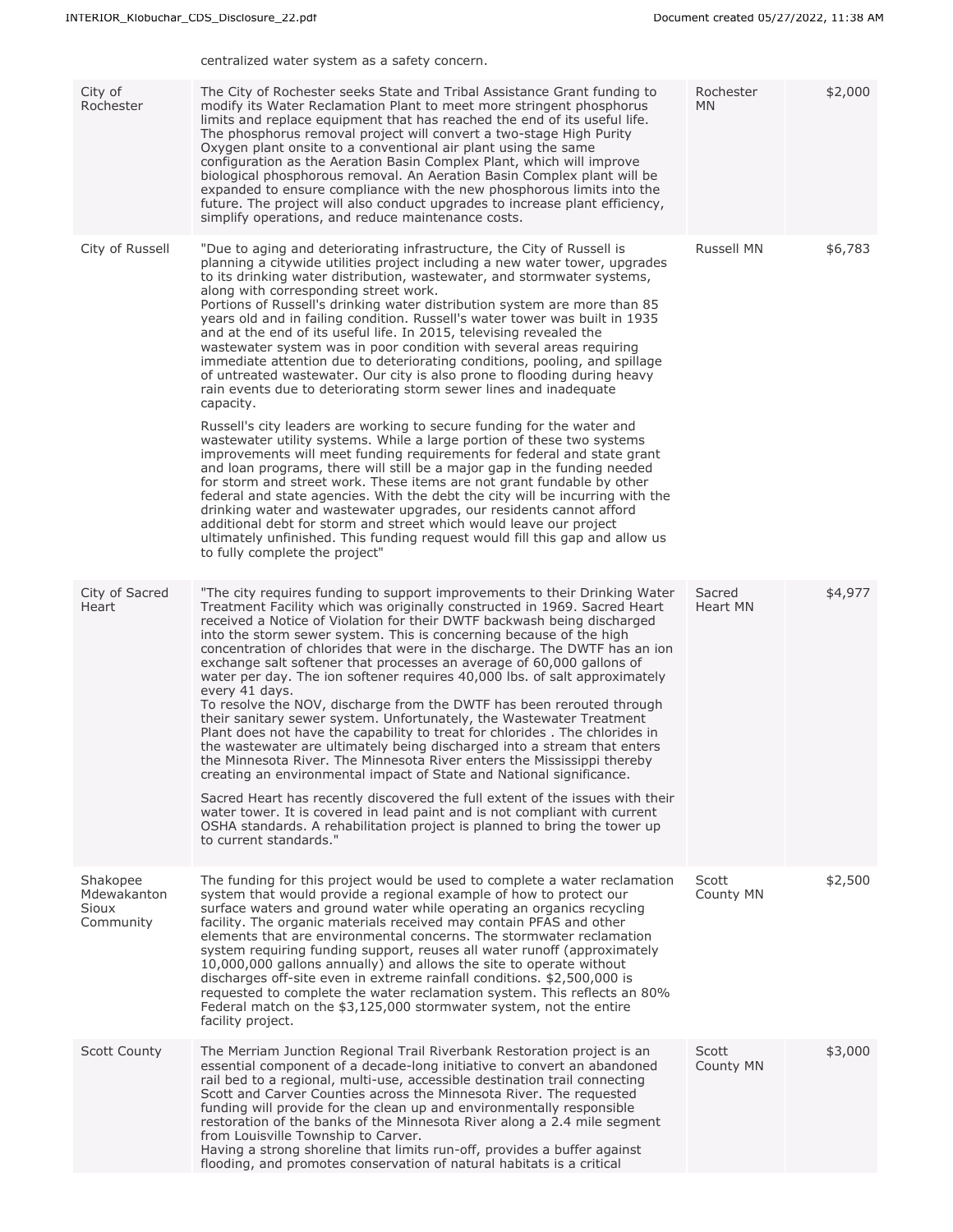|                                                      | centralized water system as a safety concern.                                                                                                                                                                                                                                                                                                                                                                                                                                                                                                                                                                                                                                                                                                                                                                                                                                                                                                                                                                                                                                                                                                                                                                                                                                                                                                                                                                                                                                                                                                                         |                        |         |
|------------------------------------------------------|-----------------------------------------------------------------------------------------------------------------------------------------------------------------------------------------------------------------------------------------------------------------------------------------------------------------------------------------------------------------------------------------------------------------------------------------------------------------------------------------------------------------------------------------------------------------------------------------------------------------------------------------------------------------------------------------------------------------------------------------------------------------------------------------------------------------------------------------------------------------------------------------------------------------------------------------------------------------------------------------------------------------------------------------------------------------------------------------------------------------------------------------------------------------------------------------------------------------------------------------------------------------------------------------------------------------------------------------------------------------------------------------------------------------------------------------------------------------------------------------------------------------------------------------------------------------------|------------------------|---------|
| City of<br>Rochester                                 | The City of Rochester seeks State and Tribal Assistance Grant funding to<br>modify its Water Reclamation Plant to meet more stringent phosphorus<br>limits and replace equipment that has reached the end of its useful life.<br>The phosphorus removal project will convert a two-stage High Purity<br>Oxygen plant onsite to a conventional air plant using the same<br>configuration as the Aeration Basin Complex Plant, which will improve<br>biological phosphorous removal. An Aeration Basin Complex plant will be<br>expanded to ensure compliance with the new phosphorous limits into the<br>future. The project will also conduct upgrades to increase plant efficiency,<br>simplify operations, and reduce maintenance costs.                                                                                                                                                                                                                                                                                                                                                                                                                                                                                                                                                                                                                                                                                                                                                                                                                            | Rochester<br><b>MN</b> | \$2,000 |
| City of Russell                                      | "Due to aging and deteriorating infrastructure, the City of Russell is<br>planning a citywide utilities project including a new water tower, upgrades<br>to its drinking water distribution, wastewater, and stormwater systems,<br>along with corresponding street work.<br>Portions of Russell's drinking water distribution system are more than 85<br>years old and in failing condition. Russell's water tower was built in 1935<br>and at the end of its useful life. In 2015, televising revealed the<br>wastewater system was in poor condition with several areas requiring<br>immediate attention due to deteriorating conditions, pooling, and spillage<br>of untreated wastewater. Our city is also prone to flooding during heavy<br>rain events due to deteriorating storm sewer lines and inadequate<br>capacity.<br>Russell's city leaders are working to secure funding for the water and<br>wastewater utility systems. While a large portion of these two systems<br>improvements will meet funding requirements for federal and state grant<br>and loan programs, there will still be a major gap in the funding needed<br>for storm and street work. These items are not grant fundable by other<br>federal and state agencies. With the debt the city will be incurring with the<br>drinking water and wastewater upgrades, our residents cannot afford<br>additional debt for storm and street which would leave our project<br>ultimately unfinished. This funding request would fill this gap and allow us<br>to fully complete the project" | Russell MN             | \$6,783 |
| City of Sacred<br>Heart                              | "The city requires funding to support improvements to their Drinking Water<br>Treatment Facility which was originally constructed in 1969. Sacred Heart<br>received a Notice of Violation for their DWTF backwash being discharged<br>into the storm sewer system. This is concerning because of the high<br>concentration of chlorides that were in the discharge. The DWTF has an ion<br>exchange salt softener that processes an average of 60,000 gallons of<br>water per day. The ion softener requires 40,000 lbs. of salt approximately<br>every 41 days.<br>To resolve the NOV, discharge from the DWTF has been rerouted through<br>their sanitary sewer system. Unfortunately, the Wastewater Treatment<br>Plant does not have the capability to treat for chlorides . The chlorides in<br>the wastewater are ultimately being discharged into a stream that enters<br>the Minnesota River. The Minnesota River enters the Mississippi thereby<br>creating an environmental impact of State and National significance.<br>Sacred Heart has recently discovered the full extent of the issues with their<br>water tower. It is covered in lead paint and is not compliant with current<br>OSHA standards. A rehabilitation project is planned to bring the tower up<br>to current standards."                                                                                                                                                                                                                                                                | Sacred<br>Heart MN     | \$4,977 |
| Shakopee<br>Mdewakanton<br><b>Sioux</b><br>Community | The funding for this project would be used to complete a water reclamation<br>system that would provide a regional example of how to protect our<br>surface waters and ground water while operating an organics recycling<br>facility. The organic materials received may contain PFAS and other<br>elements that are environmental concerns. The stormwater reclamation<br>system requiring funding support, reuses all water runoff (approximately<br>10,000,000 gallons annually) and allows the site to operate without<br>discharges off-site even in extreme rainfall conditions. \$2,500,000 is<br>requested to complete the water reclamation system. This reflects an 80%<br>Federal match on the \$3,125,000 stormwater system, not the entire<br>facility project.                                                                                                                                                                                                                                                                                                                                                                                                                                                                                                                                                                                                                                                                                                                                                                                         | Scott<br>County MN     | \$2,500 |
| <b>Scott County</b>                                  | The Merriam Junction Regional Trail Riverbank Restoration project is an<br>essential component of a decade-long initiative to convert an abandoned<br>rail bed to a regional, multi-use, accessible destination trail connecting<br>Scott and Carver Counties across the Minnesota River. The requested<br>funding will provide for the clean up and environmentally responsible<br>restoration of the banks of the Minnesota River along a 2.4 mile segment<br>from Louisville Township to Carver.<br>Having a strong shoreline that limits run-off, provides a buffer against<br>flooding, and promotes conservation of natural habitats is a critical                                                                                                                                                                                                                                                                                                                                                                                                                                                                                                                                                                                                                                                                                                                                                                                                                                                                                                              | Scott<br>County MN     | \$3,000 |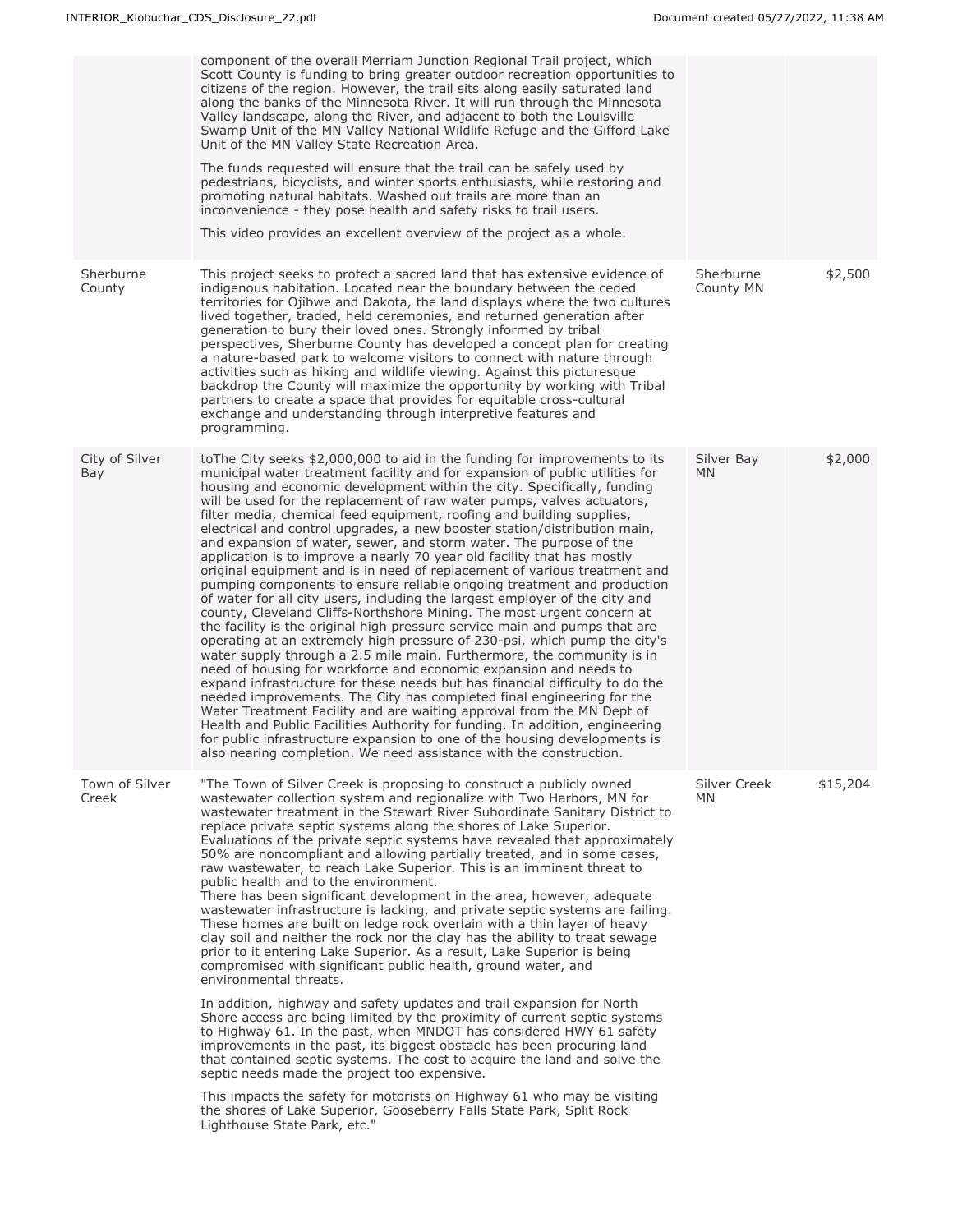|                         | component of the overall Merriam Junction Regional Trail project, which<br>Scott County is funding to bring greater outdoor recreation opportunities to<br>citizens of the region. However, the trail sits along easily saturated land<br>along the banks of the Minnesota River. It will run through the Minnesota<br>Valley landscape, along the River, and adjacent to both the Louisville<br>Swamp Unit of the MN Valley National Wildlife Refuge and the Gifford Lake<br>Unit of the MN Valley State Recreation Area.<br>The funds requested will ensure that the trail can be safely used by<br>pedestrians, bicyclists, and winter sports enthusiasts, while restoring and<br>promoting natural habitats. Washed out trails are more than an<br>inconvenience - they pose health and safety risks to trail users.<br>This video provides an excellent overview of the project as a whole.                                                                                                                                                                                                                                                                                                                                                                                                                                                                                                                                                                                                                                                                                                                                                                                                                       |                        |          |
|-------------------------|------------------------------------------------------------------------------------------------------------------------------------------------------------------------------------------------------------------------------------------------------------------------------------------------------------------------------------------------------------------------------------------------------------------------------------------------------------------------------------------------------------------------------------------------------------------------------------------------------------------------------------------------------------------------------------------------------------------------------------------------------------------------------------------------------------------------------------------------------------------------------------------------------------------------------------------------------------------------------------------------------------------------------------------------------------------------------------------------------------------------------------------------------------------------------------------------------------------------------------------------------------------------------------------------------------------------------------------------------------------------------------------------------------------------------------------------------------------------------------------------------------------------------------------------------------------------------------------------------------------------------------------------------------------------------------------------------------------------|------------------------|----------|
| Sherburne<br>County     | This project seeks to protect a sacred land that has extensive evidence of<br>indigenous habitation. Located near the boundary between the ceded<br>territories for Ojibwe and Dakota, the land displays where the two cultures<br>lived together, traded, held ceremonies, and returned generation after<br>generation to bury their loved ones. Strongly informed by tribal<br>perspectives, Sherburne County has developed a concept plan for creating<br>a nature-based park to welcome visitors to connect with nature through<br>activities such as hiking and wildlife viewing. Against this picturesque<br>backdrop the County will maximize the opportunity by working with Tribal<br>partners to create a space that provides for equitable cross-cultural<br>exchange and understanding through interpretive features and<br>programming.                                                                                                                                                                                                                                                                                                                                                                                                                                                                                                                                                                                                                                                                                                                                                                                                                                                                   | Sherburne<br>County MN | \$2,500  |
| City of Silver<br>Bay   | to The City seeks \$2,000,000 to aid in the funding for improvements to its<br>municipal water treatment facility and for expansion of public utilities for<br>housing and economic development within the city. Specifically, funding<br>will be used for the replacement of raw water pumps, valves actuators,<br>filter media, chemical feed equipment, roofing and building supplies,<br>electrical and control upgrades, a new booster station/distribution main,<br>and expansion of water, sewer, and storm water. The purpose of the<br>application is to improve a nearly 70 year old facility that has mostly<br>original equipment and is in need of replacement of various treatment and<br>pumping components to ensure reliable ongoing treatment and production<br>of water for all city users, including the largest employer of the city and<br>county, Cleveland Cliffs-Northshore Mining. The most urgent concern at<br>the facility is the original high pressure service main and pumps that are<br>operating at an extremely high pressure of 230-psi, which pump the city's<br>water supply through a 2.5 mile main. Furthermore, the community is in<br>need of housing for workforce and economic expansion and needs to<br>expand infrastructure for these needs but has financial difficulty to do the<br>needed improvements. The City has completed final engineering for the<br>Water Treatment Facility and are waiting approval from the MN Dept of<br>Health and Public Facilities Authority for funding. In addition, engineering<br>for public infrastructure expansion to one of the housing developments is<br>also nearing completion. We need assistance with the construction. | Silver Bay<br>MN.      | \$2,000  |
| Town of Silver<br>Creek | "The Town of Silver Creek is proposing to construct a publicly owned<br>wastewater collection system and regionalize with Two Harbors, MN for<br>wastewater treatment in the Stewart River Subordinate Sanitary District to<br>replace private septic systems along the shores of Lake Superior.<br>Evaluations of the private septic systems have revealed that approximately<br>50% are noncompliant and allowing partially treated, and in some cases,<br>raw wastewater, to reach Lake Superior. This is an imminent threat to<br>public health and to the environment.<br>There has been significant development in the area, however, adequate<br>wastewater infrastructure is lacking, and private septic systems are failing.<br>These homes are built on ledge rock overlain with a thin layer of heavy<br>clay soil and neither the rock nor the clay has the ability to treat sewage<br>prior to it entering Lake Superior. As a result, Lake Superior is being<br>compromised with significant public health, ground water, and<br>environmental threats.<br>In addition, highway and safety updates and trail expansion for North<br>Shore access are being limited by the proximity of current septic systems<br>to Highway 61. In the past, when MNDOT has considered HWY 61 safety<br>improvements in the past, its biggest obstacle has been procuring land<br>that contained septic systems. The cost to acquire the land and solve the<br>septic needs made the project too expensive.<br>This impacts the safety for motorists on Highway 61 who may be visiting<br>the shores of Lake Superior, Gooseberry Falls State Park, Split Rock<br>Lighthouse State Park, etc."                           | Silver Creek<br>MN.    | \$15,204 |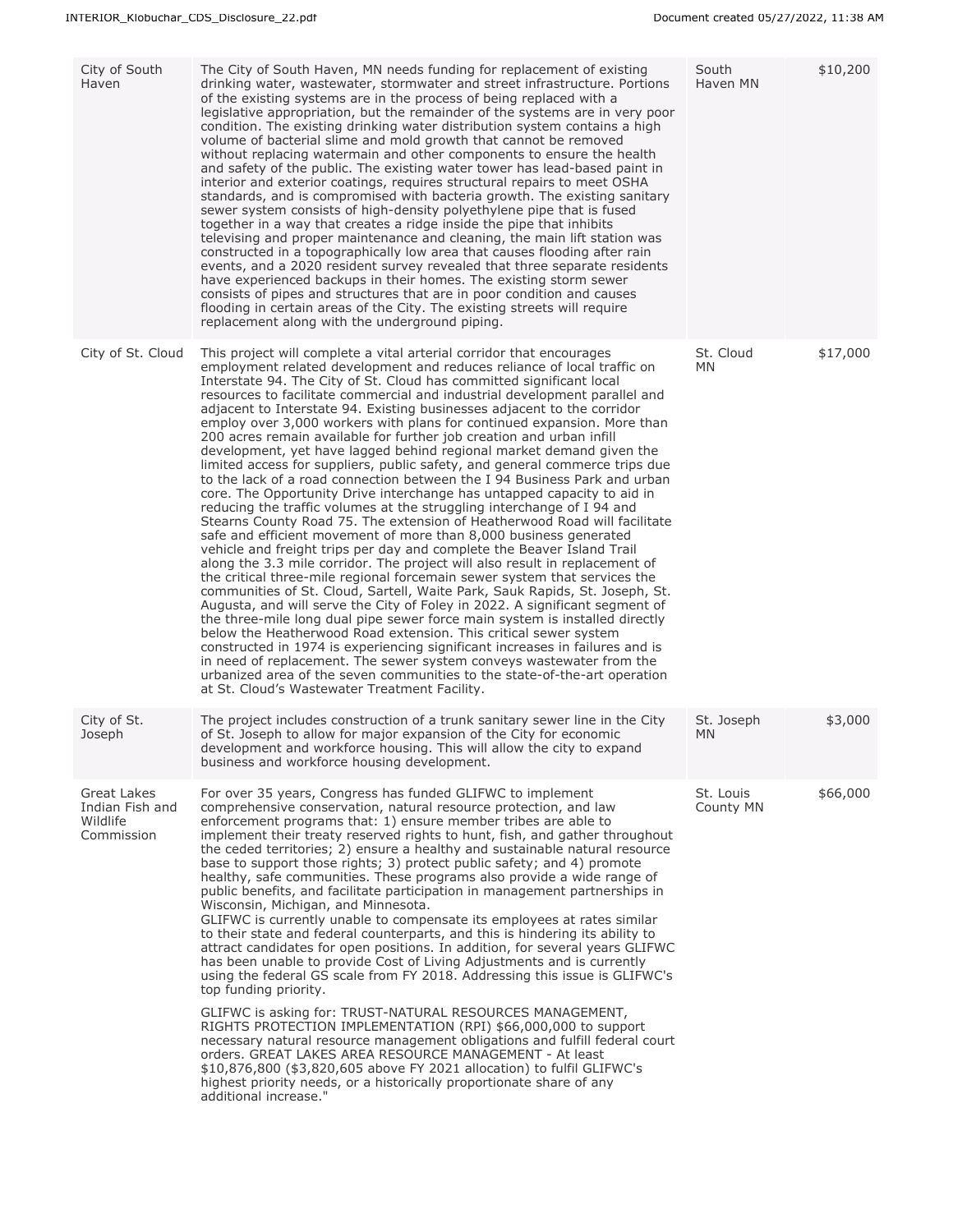| City of South<br>Haven                                   | The City of South Haven, MN needs funding for replacement of existing<br>drinking water, wastewater, stormwater and street infrastructure. Portions<br>of the existing systems are in the process of being replaced with a<br>legislative appropriation, but the remainder of the systems are in very poor<br>condition. The existing drinking water distribution system contains a high<br>volume of bacterial slime and mold growth that cannot be removed<br>without replacing watermain and other components to ensure the health<br>and safety of the public. The existing water tower has lead-based paint in<br>interior and exterior coatings, requires structural repairs to meet OSHA<br>standards, and is compromised with bacteria growth. The existing sanitary<br>sewer system consists of high-density polyethylene pipe that is fused<br>together in a way that creates a ridge inside the pipe that inhibits<br>televising and proper maintenance and cleaning, the main lift station was<br>constructed in a topographically low area that causes flooding after rain<br>events, and a 2020 resident survey revealed that three separate residents<br>have experienced backups in their homes. The existing storm sewer<br>consists of pipes and structures that are in poor condition and causes<br>flooding in certain areas of the City. The existing streets will require<br>replacement along with the underground piping.                                                                                                                                                                                                                                                                                                                                                                                                                                                                           | South<br>Haven MN      | \$10,200 |
|----------------------------------------------------------|-----------------------------------------------------------------------------------------------------------------------------------------------------------------------------------------------------------------------------------------------------------------------------------------------------------------------------------------------------------------------------------------------------------------------------------------------------------------------------------------------------------------------------------------------------------------------------------------------------------------------------------------------------------------------------------------------------------------------------------------------------------------------------------------------------------------------------------------------------------------------------------------------------------------------------------------------------------------------------------------------------------------------------------------------------------------------------------------------------------------------------------------------------------------------------------------------------------------------------------------------------------------------------------------------------------------------------------------------------------------------------------------------------------------------------------------------------------------------------------------------------------------------------------------------------------------------------------------------------------------------------------------------------------------------------------------------------------------------------------------------------------------------------------------------------------------------------------------------------------------------------------------------------------------------------|------------------------|----------|
| City of St. Cloud                                        | This project will complete a vital arterial corridor that encourages<br>employment related development and reduces reliance of local traffic on<br>Interstate 94. The City of St. Cloud has committed significant local<br>resources to facilitate commercial and industrial development parallel and<br>adjacent to Interstate 94. Existing businesses adjacent to the corridor<br>employ over 3,000 workers with plans for continued expansion. More than<br>200 acres remain available for further job creation and urban infill<br>development, yet have lagged behind regional market demand given the<br>limited access for suppliers, public safety, and general commerce trips due<br>to the lack of a road connection between the I 94 Business Park and urban<br>core. The Opportunity Drive interchange has untapped capacity to aid in<br>reducing the traffic volumes at the struggling interchange of I 94 and<br>Stearns County Road 75. The extension of Heatherwood Road will facilitate<br>safe and efficient movement of more than 8,000 business generated<br>vehicle and freight trips per day and complete the Beaver Island Trail<br>along the 3.3 mile corridor. The project will also result in replacement of<br>the critical three-mile regional forcemain sewer system that services the<br>communities of St. Cloud, Sartell, Waite Park, Sauk Rapids, St. Joseph, St.<br>Augusta, and will serve the City of Foley in 2022. A significant segment of<br>the three-mile long dual pipe sewer force main system is installed directly<br>below the Heatherwood Road extension. This critical sewer system<br>constructed in 1974 is experiencing significant increases in failures and is<br>in need of replacement. The sewer system conveys wastewater from the<br>urbanized area of the seven communities to the state-of-the-art operation<br>at St. Cloud's Wastewater Treatment Facility. | St. Cloud<br>MN.       | \$17,000 |
| City of St.<br>Joseph                                    | The project includes construction of a trunk sanitary sewer line in the City<br>of St. Joseph to allow for major expansion of the City for economic<br>development and workforce housing. This will allow the city to expand<br>business and workforce housing development.                                                                                                                                                                                                                                                                                                                                                                                                                                                                                                                                                                                                                                                                                                                                                                                                                                                                                                                                                                                                                                                                                                                                                                                                                                                                                                                                                                                                                                                                                                                                                                                                                                                 | St. Joseph<br>MN.      | \$3,000  |
| Great Lakes<br>Indian Fish and<br>Wildlife<br>Commission | For over 35 years, Congress has funded GLIFWC to implement<br>comprehensive conservation, natural resource protection, and law<br>enforcement programs that: 1) ensure member tribes are able to<br>implement their treaty reserved rights to hunt, fish, and gather throughout<br>the ceded territories; 2) ensure a healthy and sustainable natural resource<br>base to support those rights; 3) protect public safety; and 4) promote<br>healthy, safe communities. These programs also provide a wide range of<br>public benefits, and facilitate participation in management partnerships in<br>Wisconsin, Michigan, and Minnesota.<br>GLIFWC is currently unable to compensate its employees at rates similar<br>to their state and federal counterparts, and this is hindering its ability to<br>attract candidates for open positions. In addition, for several years GLIFWC<br>has been unable to provide Cost of Living Adjustments and is currently<br>using the federal GS scale from FY 2018. Addressing this issue is GLIFWC's<br>top funding priority.<br>GLIFWC is asking for: TRUST-NATURAL RESOURCES MANAGEMENT,<br>RIGHTS PROTECTION IMPLEMENTATION (RPI) \$66,000,000 to support<br>necessary natural resource management obligations and fulfill federal court<br>orders. GREAT LAKES AREA RESOURCE MANAGEMENT - At least<br>\$10,876,800 (\$3,820,605 above FY 2021 allocation) to fulfil GLIFWC's<br>highest priority needs, or a historically proportionate share of any<br>additional increase."                                                                                                                                                                                                                                                                                                                                                                                                   | St. Louis<br>County MN | \$66,000 |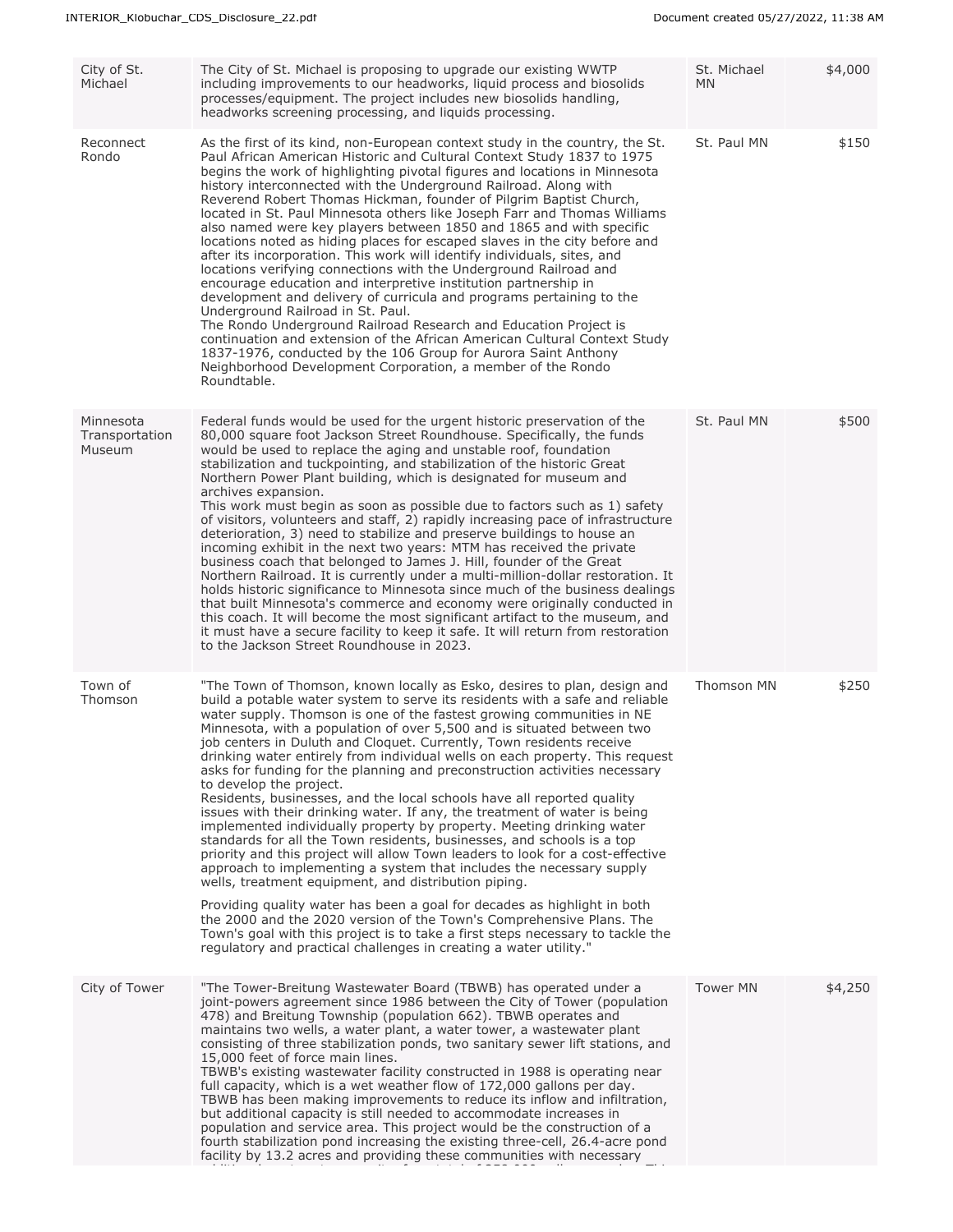| City of St.<br>Michael                | The City of St. Michael is proposing to upgrade our existing WWTP<br>including improvements to our headworks, liquid process and biosolids<br>processes/equipment. The project includes new biosolids handling,<br>headworks screening processing, and liquids processing.                                                                                                                                                                                                                                                                                                                                                                                                                                                                                                                                                                                                                                                                                                                                                                                                                                                                                                                                                                                                                                                                                                                                          | St. Michael<br><b>MN</b> | \$4,000 |
|---------------------------------------|---------------------------------------------------------------------------------------------------------------------------------------------------------------------------------------------------------------------------------------------------------------------------------------------------------------------------------------------------------------------------------------------------------------------------------------------------------------------------------------------------------------------------------------------------------------------------------------------------------------------------------------------------------------------------------------------------------------------------------------------------------------------------------------------------------------------------------------------------------------------------------------------------------------------------------------------------------------------------------------------------------------------------------------------------------------------------------------------------------------------------------------------------------------------------------------------------------------------------------------------------------------------------------------------------------------------------------------------------------------------------------------------------------------------|--------------------------|---------|
| Reconnect<br>Rondo                    | As the first of its kind, non-European context study in the country, the St.<br>Paul African American Historic and Cultural Context Study 1837 to 1975<br>begins the work of highlighting pivotal figures and locations in Minnesota<br>history interconnected with the Underground Railroad. Along with<br>Reverend Robert Thomas Hickman, founder of Pilgrim Baptist Church,<br>located in St. Paul Minnesota others like Joseph Farr and Thomas Williams<br>also named were key players between 1850 and 1865 and with specific<br>locations noted as hiding places for escaped slaves in the city before and<br>after its incorporation. This work will identify individuals, sites, and<br>locations verifying connections with the Underground Railroad and<br>encourage education and interpretive institution partnership in<br>development and delivery of curricula and programs pertaining to the<br>Underground Railroad in St. Paul.<br>The Rondo Underground Railroad Research and Education Project is<br>continuation and extension of the African American Cultural Context Study<br>1837-1976, conducted by the 106 Group for Aurora Saint Anthony<br>Neighborhood Development Corporation, a member of the Rondo<br>Roundtable.                                                                                                                                                                  | St. Paul MN              | \$150   |
| Minnesota<br>Transportation<br>Museum | Federal funds would be used for the urgent historic preservation of the<br>80,000 square foot Jackson Street Roundhouse. Specifically, the funds<br>would be used to replace the aging and unstable roof, foundation<br>stabilization and tuckpointing, and stabilization of the historic Great<br>Northern Power Plant building, which is designated for museum and<br>archives expansion.<br>This work must begin as soon as possible due to factors such as 1) safety<br>of visitors, volunteers and staff, 2) rapidly increasing pace of infrastructure<br>deterioration, 3) need to stabilize and preserve buildings to house an<br>incoming exhibit in the next two years: MTM has received the private<br>business coach that belonged to James J. Hill, founder of the Great<br>Northern Railroad. It is currently under a multi-million-dollar restoration. It<br>holds historic significance to Minnesota since much of the business dealings<br>that built Minnesota's commerce and economy were originally conducted in<br>this coach. It will become the most significant artifact to the museum, and<br>it must have a secure facility to keep it safe. It will return from restoration<br>to the Jackson Street Roundhouse in 2023.                                                                                                                                                                  | St. Paul MN              | \$500   |
| Town of<br>Thomson                    | "The Town of Thomson, known locally as Esko, desires to plan, design and<br>build a potable water system to serve its residents with a safe and reliable<br>water supply. Thomson is one of the fastest growing communities in NE<br>Minnesota, with a population of over 5,500 and is situated between two<br>job centers in Duluth and Cloquet. Currently, Town residents receive<br>drinking water entirely from individual wells on each property. This request<br>asks for funding for the planning and preconstruction activities necessary<br>to develop the project.<br>Residents, businesses, and the local schools have all reported quality<br>issues with their drinking water. If any, the treatment of water is being<br>implemented individually property by property. Meeting drinking water<br>standards for all the Town residents, businesses, and schools is a top<br>priority and this project will allow Town leaders to look for a cost-effective<br>approach to implementing a system that includes the necessary supply<br>wells, treatment equipment, and distribution piping.<br>Providing quality water has been a goal for decades as highlight in both<br>the 2000 and the 2020 version of the Town's Comprehensive Plans. The<br>Town's goal with this project is to take a first steps necessary to tackle the<br>regulatory and practical challenges in creating a water utility." | Thomson MN               | \$250   |
| City of Tower                         | "The Tower-Breitung Wastewater Board (TBWB) has operated under a<br>joint-powers agreement since 1986 between the City of Tower (population<br>478) and Breitung Township (population 662). TBWB operates and<br>maintains two wells, a water plant, a water tower, a wastewater plant<br>consisting of three stabilization ponds, two sanitary sewer lift stations, and<br>15,000 feet of force main lines.<br>TBWB's existing wastewater facility constructed in 1988 is operating near<br>full capacity, which is a wet weather flow of 172,000 gallons per day.<br>TBWB has been making improvements to reduce its inflow and infiltration,<br>but additional capacity is still needed to accommodate increases in<br>population and service area. This project would be the construction of a<br>fourth stabilization pond increasing the existing three-cell, 26.4-acre pond<br>facility by 13.2 acres and providing these communities with necessary                                                                                                                                                                                                                                                                                                                                                                                                                                                         | <b>Tower MN</b>          | \$4,250 |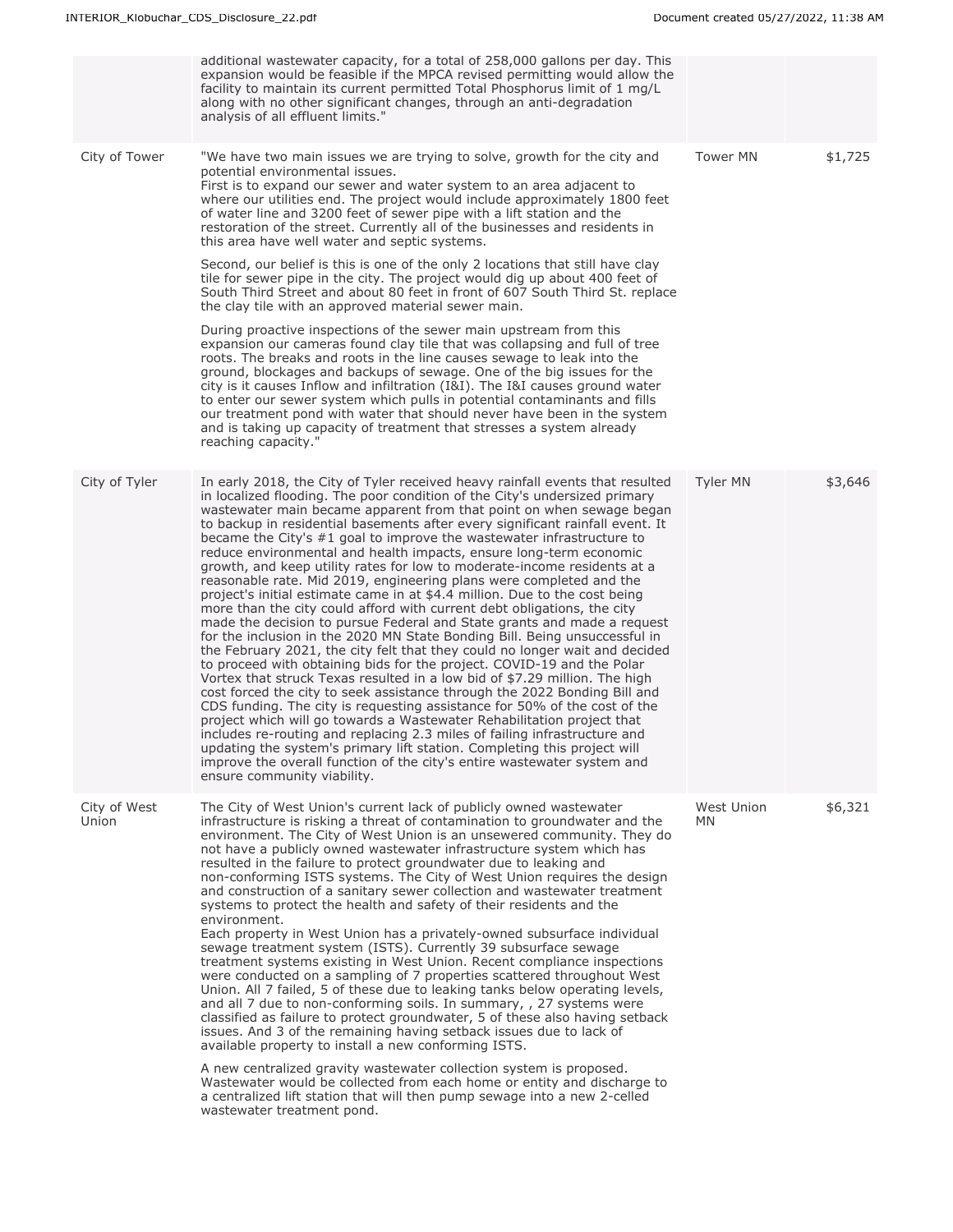|                       | additional wastewater capacity, for a total of 258,000 gallons per day. This<br>expansion would be feasible if the MPCA revised permitting would allow the<br>facility to maintain its current permitted Total Phosphorus limit of 1 mg/L<br>along with no other significant changes, through an anti-degradation<br>analysis of all effluent limits."                                                                                                                                                                                                                                                                                                                                                                                                                                                                                                                                                                                                                                                                                                                                                                                                                                                                                                                                                                                                                                                                                                                                                                                                                                                                                                                                 |                         |         |
|-----------------------|----------------------------------------------------------------------------------------------------------------------------------------------------------------------------------------------------------------------------------------------------------------------------------------------------------------------------------------------------------------------------------------------------------------------------------------------------------------------------------------------------------------------------------------------------------------------------------------------------------------------------------------------------------------------------------------------------------------------------------------------------------------------------------------------------------------------------------------------------------------------------------------------------------------------------------------------------------------------------------------------------------------------------------------------------------------------------------------------------------------------------------------------------------------------------------------------------------------------------------------------------------------------------------------------------------------------------------------------------------------------------------------------------------------------------------------------------------------------------------------------------------------------------------------------------------------------------------------------------------------------------------------------------------------------------------------|-------------------------|---------|
| City of Tower         | "We have two main issues we are trying to solve, growth for the city and<br>potential environmental issues.<br>First is to expand our sewer and water system to an area adjacent to<br>where our utilities end. The project would include approximately 1800 feet<br>of water line and 3200 feet of sewer pipe with a lift station and the<br>restoration of the street. Currently all of the businesses and residents in<br>this area have well water and septic systems.                                                                                                                                                                                                                                                                                                                                                                                                                                                                                                                                                                                                                                                                                                                                                                                                                                                                                                                                                                                                                                                                                                                                                                                                             | <b>Tower MN</b>         | \$1,725 |
|                       | Second, our belief is this is one of the only 2 locations that still have clay<br>tile for sewer pipe in the city. The project would dig up about 400 feet of<br>South Third Street and about 80 feet in front of 607 South Third St. replace<br>the clay tile with an approved material sewer main.                                                                                                                                                                                                                                                                                                                                                                                                                                                                                                                                                                                                                                                                                                                                                                                                                                                                                                                                                                                                                                                                                                                                                                                                                                                                                                                                                                                   |                         |         |
|                       | During proactive inspections of the sewer main upstream from this<br>expansion our cameras found clay tile that was collapsing and full of tree<br>roots. The breaks and roots in the line causes sewage to leak into the<br>ground, blockages and backups of sewage. One of the big issues for the<br>city is it causes Inflow and infiltration (I&I). The I&I causes ground water<br>to enter our sewer system which pulls in potential contaminants and fills<br>our treatment pond with water that should never have been in the system<br>and is taking up capacity of treatment that stresses a system already<br>reaching capacity."                                                                                                                                                                                                                                                                                                                                                                                                                                                                                                                                                                                                                                                                                                                                                                                                                                                                                                                                                                                                                                            |                         |         |
| City of Tyler         | In early 2018, the City of Tyler received heavy rainfall events that resulted<br>in localized flooding. The poor condition of the City's undersized primary<br>wastewater main became apparent from that point on when sewage began<br>to backup in residential basements after every significant rainfall event. It<br>became the City's #1 goal to improve the wastewater infrastructure to<br>reduce environmental and health impacts, ensure long-term economic<br>growth, and keep utility rates for low to moderate-income residents at a<br>reasonable rate. Mid 2019, engineering plans were completed and the<br>project's initial estimate came in at \$4.4 million. Due to the cost being<br>more than the city could afford with current debt obligations, the city<br>made the decision to pursue Federal and State grants and made a request<br>for the inclusion in the 2020 MN State Bonding Bill. Being unsuccessful in<br>the February 2021, the city felt that they could no longer wait and decided<br>to proceed with obtaining bids for the project. COVID-19 and the Polar<br>Vortex that struck Texas resulted in a low bid of \$7.29 million. The high<br>cost forced the city to seek assistance through the 2022 Bonding Bill and<br>CDS funding. The city is requesting assistance for 50% of the cost of the<br>project which will go towards a Wastewater Rehabilitation project that<br>includes re-routing and replacing 2.3 miles of failing infrastructure and<br>updating the system's primary lift station. Completing this project will<br>improve the overall function of the city's entire wastewater system and<br>ensure community viability. | <b>Tyler MN</b>         | \$3,646 |
| City of West<br>Union | The City of West Union's current lack of publicly owned wastewater<br>infrastructure is risking a threat of contamination to groundwater and the<br>environment. The City of West Union is an unsewered community. They do<br>not have a publicly owned wastewater infrastructure system which has<br>resulted in the failure to protect groundwater due to leaking and<br>non-conforming ISTS systems. The City of West Union requires the design<br>and construction of a sanitary sewer collection and wastewater treatment<br>systems to protect the health and safety of their residents and the<br>environment.<br>Each property in West Union has a privately-owned subsurface individual<br>sewage treatment system (ISTS). Currently 39 subsurface sewage<br>treatment systems existing in West Union. Recent compliance inspections<br>were conducted on a sampling of 7 properties scattered throughout West<br>Union. All 7 failed, 5 of these due to leaking tanks below operating levels,<br>and all 7 due to non-conforming soils. In summary, , 27 systems were<br>classified as failure to protect groundwater, 5 of these also having setback<br>issues. And 3 of the remaining having setback issues due to lack of<br>available property to install a new conforming ISTS.<br>A new centralized gravity wastewater collection system is proposed.<br>Wastewater would be collected from each home or entity and discharge to<br>a centralized lift station that will then pump sewage into a new 2-celled<br>wastewater treatment pond.                                                                                                                            | West Union<br><b>MN</b> | \$6,321 |